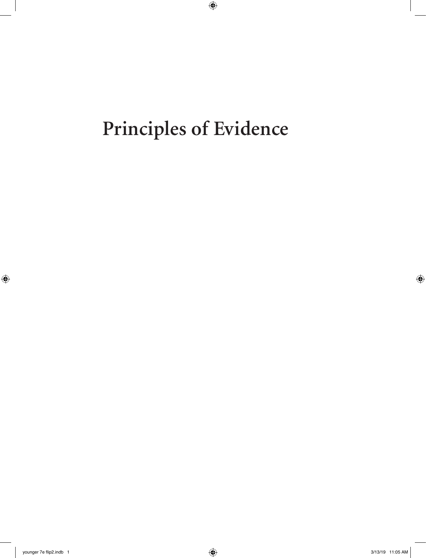# **Principles of Evidence**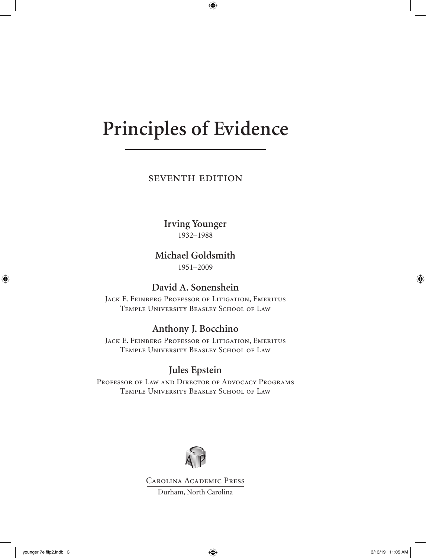# **Principles of Evidence**

seventh edition

**Irving Younger** 1932–1988

**Michael Goldsmith**

1951–2009

**David A. Sonenshein**

JACK E. FEINBERG PROFESSOR OF LITIGATION, EMERITUS Temple University Beasley School of Law

**Anthony J. Bocchino**

Jack E. Feinberg Professor of Litigation, Emeritus Temple University Beasley School of Law

# **Jules Epstein**

Professor of Law and Director of Advocacy Programs Temple University Beasley School of Law



Carolina Academic Press Durham, North Carolina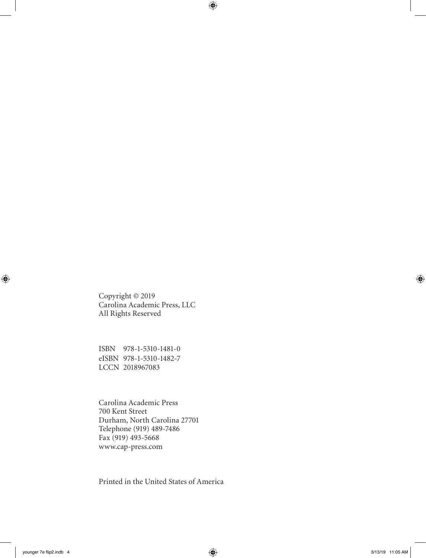Copyright © 2019 Carolina Academic Press, LLC All Rights Reserved

ISBN 978-1-5310-1481-0 eISBN 978-1-5310-1482-7 LCCN 2018967083

Carolina Academic Press 700 Kent Street Durham, North Carolina 27701 Telephone (919) 489-7486 Fax (919) 493-5668 www.cap-press.com

Printed in the United States of America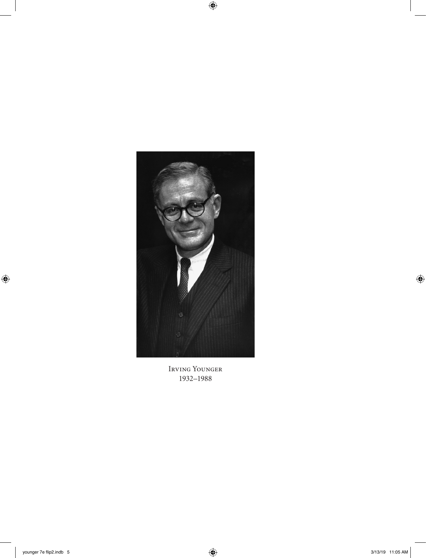

Irving Younger 1932–1988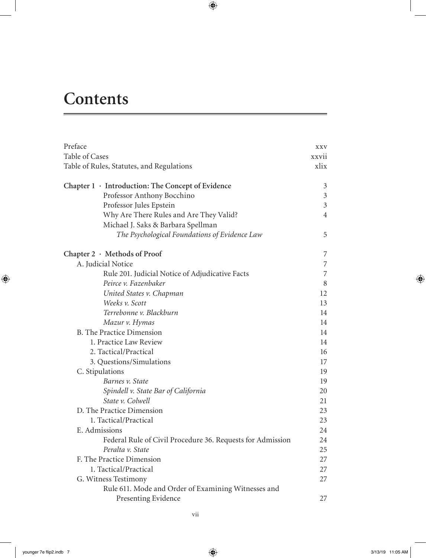# **Contents**

| Preface                                                    | <b>XXV</b>     |
|------------------------------------------------------------|----------------|
| Table of Cases                                             | xxvii          |
| Table of Rules, Statutes, and Regulations                  | xlix           |
| Chapter 1 · Introduction: The Concept of Evidence          | 3              |
| Professor Anthony Bocchino                                 | $\mathfrak{Z}$ |
| Professor Jules Epstein                                    | $\mathfrak{Z}$ |
| Why Are There Rules and Are They Valid?                    | $\overline{4}$ |
| Michael J. Saks & Barbara Spellman                         |                |
| The Psychological Foundations of Evidence Law              | 5              |
| Chapter 2 · Methods of Proof                               | 7              |
| A. Judicial Notice                                         | $\overline{7}$ |
| Rule 201. Judicial Notice of Adjudicative Facts            | $\overline{7}$ |
| Peirce v. Fazenbaker                                       | 8              |
| United States v. Chapman                                   | 12             |
| Weeks v. Scott                                             | 13             |
| Terrebonne v. Blackburn                                    | 14             |
| Mazur v. Hymas                                             | 14             |
| <b>B.</b> The Practice Dimension                           | 14             |
| 1. Practice Law Review                                     | 14             |
| 2. Tactical/Practical                                      | 16             |
| 3. Questions/Simulations                                   | 17             |
| C. Stipulations                                            | 19             |
| Barnes v. State                                            | 19             |
| Spindell v. State Bar of California                        | 20             |
| State v. Colwell                                           | 21             |
| D. The Practice Dimension                                  | 23             |
| 1. Tactical/Practical                                      | 23             |
| E. Admissions                                              | 24             |
| Federal Rule of Civil Procedure 36. Requests for Admission | 24             |
| Peralta v. State                                           | 25             |
| F. The Practice Dimension                                  | 27             |
| 1. Tactical/Practical                                      | 27             |
| G. Witness Testimony                                       | 27             |
| Rule 611. Mode and Order of Examining Witnesses and        |                |
| Presenting Evidence                                        | 27             |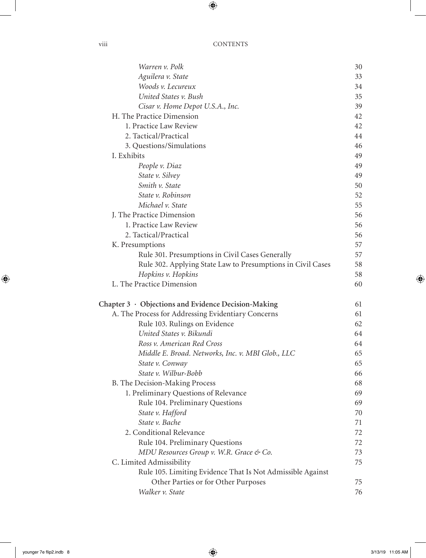| Warren v. Polk                                              | 30 |
|-------------------------------------------------------------|----|
| Aguilera v. State                                           | 33 |
| Woods v. Lecureux                                           | 34 |
| United States v. Bush                                       | 35 |
| Cisar v. Home Depot U.S.A., Inc.                            | 39 |
| H. The Practice Dimension                                   | 42 |
| 1. Practice Law Review                                      | 42 |
| 2. Tactical/Practical                                       | 44 |
| 3. Questions/Simulations                                    | 46 |
| I. Exhibits                                                 | 49 |
| People v. Diaz                                              | 49 |
| State v. Silvey                                             | 49 |
| Smith v. State                                              | 50 |
| State v. Robinson                                           | 52 |
| Michael v. State                                            | 55 |
| J. The Practice Dimension                                   | 56 |
| 1. Practice Law Review                                      | 56 |
| 2. Tactical/Practical                                       | 56 |
| K. Presumptions                                             | 57 |
| Rule 301. Presumptions in Civil Cases Generally             | 57 |
| Rule 302. Applying State Law to Presumptions in Civil Cases | 58 |
| Hopkins v. Hopkins                                          | 58 |
| L. The Practice Dimension                                   | 60 |
| Chapter $3 \cdot$ Objections and Evidence Decision-Making   | 61 |
| A. The Process for Addressing Evidentiary Concerns          | 61 |
| Rule 103. Rulings on Evidence                               | 62 |
| United States v. Bikundi                                    | 64 |
| Ross v. American Red Cross                                  | 64 |
| Middle E. Broad. Networks, Inc. v. MBI Glob., LLC           | 65 |
| State v. Conway                                             | 65 |
| State v. Wilbur-Bobb                                        | 66 |
| B. The Decision-Making Process                              | 68 |
| 1. Preliminary Questions of Relevance                       | 69 |
| Rule 104. Preliminary Questions                             | 69 |
| State v. Hafford                                            | 70 |
| State v. Bache                                              | 71 |
| 2. Conditional Relevance                                    | 72 |
| Rule 104. Preliminary Questions                             | 72 |
| MDU Resources Group v. W.R. Grace & Co.                     | 73 |
| C. Limited Admissibility                                    | 75 |
| Rule 105. Limiting Evidence That Is Not Admissible Against  |    |
| Other Parties or for Other Purposes                         | 75 |
| Walker v. State                                             | 76 |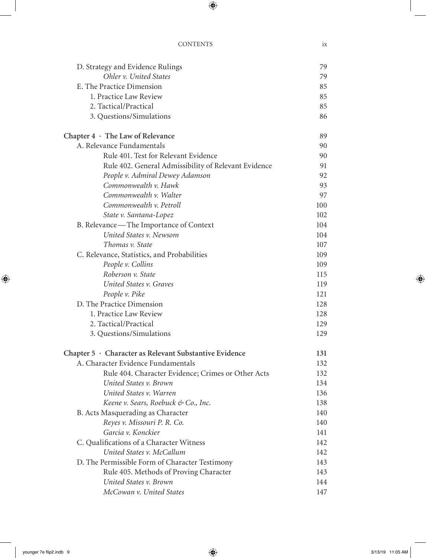| D. Strategy and Evidence Rulings                       | 79  |
|--------------------------------------------------------|-----|
| Ohler v. United States                                 | 79  |
| E. The Practice Dimension                              | 85  |
| 1. Practice Law Review                                 | 85  |
| 2. Tactical/Practical                                  | 85  |
| 3. Questions/Simulations                               | 86  |
| Chapter $4 \cdot$ The Law of Relevance                 | 89  |
| A. Relevance Fundamentals                              | 90  |
| Rule 401. Test for Relevant Evidence                   | 90  |
| Rule 402. General Admissibility of Relevant Evidence   | 91  |
| People v. Admiral Dewey Adamson                        | 92  |
| Commonwealth v. Hawk                                   | 93  |
| Commonwealth v. Walter                                 | 97  |
| Commonwealth v. Petroll                                | 100 |
| State v. Santana-Lopez                                 | 102 |
| B. Relevance - The Importance of Context               | 104 |
| United States v. Newsom                                | 104 |
| Thomas v. State                                        | 107 |
| C. Relevance, Statistics, and Probabilities            | 109 |
| People v. Collins                                      | 109 |
| Roberson v. State                                      | 115 |
| United States v. Graves                                | 119 |
| People v. Pike                                         | 121 |
| D. The Practice Dimension                              | 128 |
| 1. Practice Law Review                                 | 128 |
| 2. Tactical/Practical                                  | 129 |
| 3. Questions/Simulations                               | 129 |
| Chapter 5 · Character as Relevant Substantive Evidence | 131 |
| A. Character Evidence Fundamentals                     | 132 |
| Rule 404. Character Evidence; Crimes or Other Acts     | 132 |
| United States v. Brown                                 | 134 |
| United States v. Warren                                | 136 |
| Keene v. Sears, Roebuck & Co., Inc.                    | 138 |
| B. Acts Masquerading as Character                      | 140 |
| Reyes v. Missouri P. R. Co.                            | 140 |
| Garcia v. Konckier                                     | 141 |
| C. Qualifications of a Character Witness               | 142 |
| United States v. McCallum                              | 142 |
| D. The Permissible Form of Character Testimony         | 143 |
| Rule 405. Methods of Proving Character                 | 143 |
| United States v. Brown                                 | 144 |
| McCowan v. United States                               | 147 |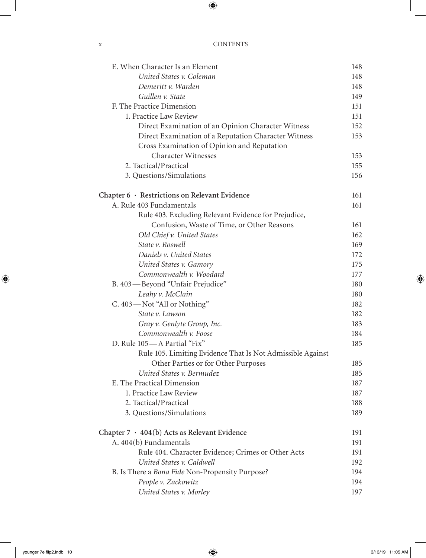| E. When Character Is an Element                            | 148 |
|------------------------------------------------------------|-----|
| United States v. Coleman                                   | 148 |
| Demeritt v. Warden                                         | 148 |
| Guillen v. State                                           | 149 |
| F. The Practice Dimension                                  | 151 |
| 1. Practice Law Review                                     | 151 |
| Direct Examination of an Opinion Character Witness         | 152 |
| Direct Examination of a Reputation Character Witness       | 153 |
| Cross Examination of Opinion and Reputation                |     |
| <b>Character Witnesses</b>                                 | 153 |
| 2. Tactical/Practical                                      | 155 |
| 3. Questions/Simulations                                   | 156 |
| Chapter 6 · Restrictions on Relevant Evidence              | 161 |
| A. Rule 403 Fundamentals                                   | 161 |
| Rule 403. Excluding Relevant Evidence for Prejudice,       |     |
| Confusion, Waste of Time, or Other Reasons                 | 161 |
| Old Chief v. United States                                 | 162 |
| State v. Roswell                                           | 169 |
| Daniels v. United States                                   | 172 |
| United States v. Gamory                                    | 175 |
| Commonwealth v. Woodard                                    | 177 |
| B. 403—Beyond "Unfair Prejudice"                           | 180 |
| Leahy v. McClain                                           | 180 |
| C. 403-Not "All or Nothing"                                | 182 |
| State v. Lawson                                            | 182 |
| Gray v. Genlyte Group, Inc.                                | 183 |
| Commonwealth v. Foose                                      | 184 |
| D. Rule 105-A Partial "Fix"                                | 185 |
| Rule 105. Limiting Evidence That Is Not Admissible Against |     |
| Other Parties or for Other Purposes                        | 185 |
| United States v. Bermudez                                  | 185 |
| E. The Practical Dimension                                 | 187 |
| 1. Practice Law Review                                     | 187 |
| 2. Tactical/Practical                                      | 188 |
| 3. Questions/Simulations                                   | 189 |
| Chapter 7 · 404(b) Acts as Relevant Evidence               | 191 |
| A. 404(b) Fundamentals                                     | 191 |
| Rule 404. Character Evidence; Crimes or Other Acts         | 191 |
| United States v. Caldwell                                  | 192 |
| B. Is There a Bona Fide Non-Propensity Purpose?            | 194 |
| People v. Zackowitz                                        | 194 |
| United States v. Morley                                    | 197 |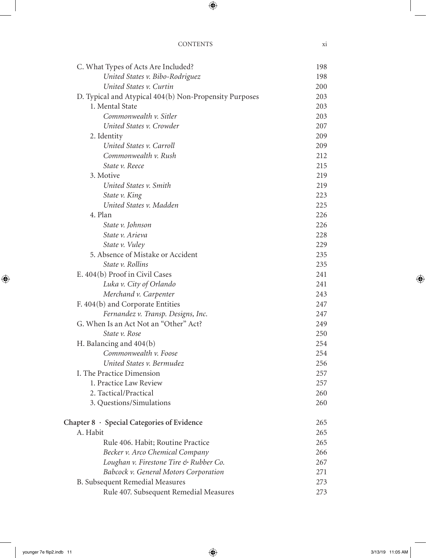| C. What Types of Acts Are Included?                    | 198 |
|--------------------------------------------------------|-----|
| United States v. Bibo-Rodriguez                        | 198 |
| United States v. Curtin                                | 200 |
| D. Typical and Atypical 404(b) Non-Propensity Purposes | 203 |
| 1. Mental State                                        | 203 |
| Commonwealth v. Sitler                                 | 203 |
| United States v. Crowder                               | 207 |
| 2. Identity                                            | 209 |
| United States v. Carroll                               | 209 |
| Commonwealth v. Rush                                   | 212 |
| State v. Reece                                         | 215 |
| 3. Motive                                              | 219 |
| United States v. Smith                                 | 219 |
| State v. King                                          | 223 |
| United States v. Madden                                | 225 |
| 4. Plan                                                | 226 |
| State v. Johnson                                       | 226 |
| State v. Arieva                                        | 228 |
| State v. Vuley                                         | 229 |
| 5. Absence of Mistake or Accident                      | 235 |
| State v. Rollins                                       | 235 |
| E. 404(b) Proof in Civil Cases                         | 241 |
| Luka v. City of Orlando                                | 241 |
| Merchand v. Carpenter                                  | 243 |
| F. 404(b) and Corporate Entities                       | 247 |
| Fernandez v. Transp. Designs, Inc.                     | 247 |
| G. When Is an Act Not an "Other" Act?                  | 249 |
| State v. Rose                                          | 250 |
| H. Balancing and $404(b)$                              | 254 |
| Commonwealth v. Foose                                  | 254 |
| United States v. Bermudez                              | 256 |
| I. The Practice Dimension                              | 257 |
| 1. Practice Law Review                                 | 257 |
| 2. Tactical/Practical                                  | 260 |
| 3. Questions/Simulations                               | 260 |
| Chapter 8 · Special Categories of Evidence             | 265 |
| A. Habit                                               | 265 |
| Rule 406. Habit; Routine Practice                      | 265 |
| Becker v. Arco Chemical Company                        | 266 |
| Loughan v. Firestone Tire & Rubber Co.                 | 267 |
| Babcock v. General Motors Corporation                  | 271 |
| <b>B.</b> Subsequent Remedial Measures                 | 273 |
| Rule 407. Subsequent Remedial Measures                 | 273 |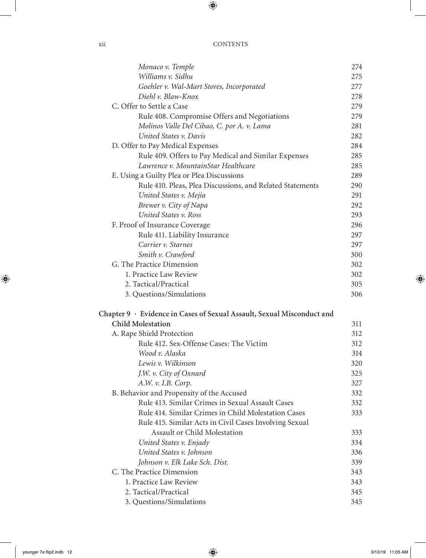| X11 | <b>CONTENTS</b> |
|-----|-----------------|
|     |                 |

| Monaco v. Temple                                                       | 274 |
|------------------------------------------------------------------------|-----|
| Williams v. Sidhu                                                      | 275 |
| Goehler v. Wal-Mart Stores, Incorporated                               | 277 |
| Diehl v. Blaw-Knox                                                     | 278 |
| C. Offer to Settle a Case                                              | 279 |
| Rule 408. Compromise Offers and Negotiations                           | 279 |
| Molinos Valle Del Cibao, C. por A. v. Lama                             | 281 |
| United States v. Davis                                                 | 282 |
| D. Offer to Pay Medical Expenses                                       | 284 |
| Rule 409. Offers to Pay Medical and Similar Expenses                   | 285 |
| Lawrence v. MountainStar Healthcare                                    | 285 |
| E. Using a Guilty Plea or Plea Discussions                             | 289 |
| Rule 410. Pleas, Plea Discussions, and Related Statements              | 290 |
| United States v. Mejia                                                 | 291 |
| Brewer v. City of Napa                                                 | 292 |
| United States v. Ross                                                  | 293 |
| F. Proof of Insurance Coverage                                         | 296 |
| Rule 411. Liability Insurance                                          | 297 |
| Carrier v. Starnes                                                     | 297 |
| Smith v. Crawford                                                      | 300 |
| G. The Practice Dimension                                              | 302 |
| 1. Practice Law Review                                                 | 302 |
| 2. Tactical/Practical                                                  | 305 |
| 3. Questions/Simulations                                               | 306 |
| Chapter 9 · Evidence in Cases of Sexual Assault, Sexual Misconduct and |     |
| <b>Child Molestation</b>                                               | 311 |
| A. Rape Shield Protection                                              | 312 |
| Rule 412. Sex-Offense Cases: The Victim                                | 312 |
| Wood v. Alaska                                                         | 314 |
| Lewis v. Wilkinson                                                     | 320 |
| J.W. v. City of Oxnard                                                 | 325 |
| A.W. v. I.B. Corp.                                                     | 327 |
| B. Behavior and Propensity of the Accused                              | 332 |
| Rule 413. Similar Crimes in Sexual Assault Cases                       | 332 |
| Rule 414. Similar Crimes in Child Molestation Cases                    | 333 |
| Rule 415. Similar Acts in Civil Cases Involving Sexual                 |     |
| Assault or Child Molestation                                           | 333 |
| United States v. Enjady                                                | 334 |
| United States v. Johnson                                               | 336 |
| Johnson v. Elk Lake Sch. Dist.                                         | 339 |
| C. The Practice Dimension                                              | 343 |
| 1. Practice Law Review                                                 | 343 |
| 2. Tactical/Practical                                                  | 345 |
| 3. Questions/Simulations                                               | 345 |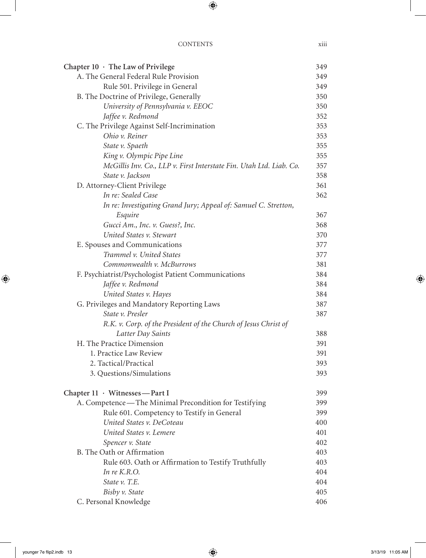# CONTENTS xiii

| Chapter $10 \cdot$ The Law of Privilege                             | 349 |
|---------------------------------------------------------------------|-----|
| A. The General Federal Rule Provision                               | 349 |
| Rule 501. Privilege in General                                      | 349 |
| B. The Doctrine of Privilege, Generally                             | 350 |
| University of Pennsylvania v. EEOC                                  | 350 |
| Jaffee v. Redmond                                                   | 352 |
| C. The Privilege Against Self-Incrimination                         | 353 |
| Ohio v. Reiner                                                      | 353 |
| State v. Spaeth                                                     | 355 |
| King v. Olympic Pipe Line                                           | 355 |
| McGillis Inv. Co., LLP v. First Interstate Fin. Utah Ltd. Liab. Co. | 357 |
| State v. Jackson                                                    | 358 |
| D. Attorney-Client Privilege                                        | 361 |
| In re: Sealed Case                                                  | 362 |
| In re: Investigating Grand Jury; Appeal of: Samuel C. Stretton,     |     |
| Esquire                                                             | 367 |
| Gucci Am., Inc. v. Guess?, Inc.                                     | 368 |
| United States v. Stewart                                            | 370 |
| E. Spouses and Communications                                       | 377 |
| Trammel v. United States                                            | 377 |
| Commonwealth v. McBurrows                                           | 381 |
| F. Psychiatrist/Psychologist Patient Communications                 | 384 |
| Jaffee v. Redmond                                                   | 384 |
| United States v. Hayes                                              | 384 |
| G. Privileges and Mandatory Reporting Laws                          | 387 |
| State v. Presler                                                    | 387 |
| R.K. v. Corp. of the President of the Church of Jesus Christ of     |     |
| Latter Day Saints                                                   | 388 |
| H. The Practice Dimension                                           | 391 |
| 1. Practice Law Review                                              | 391 |
| 2. Tactical/Practical                                               | 393 |
| 3. Questions/Simulations                                            | 393 |
| Chapter 11 · Witnesses-Part I                                       | 399 |
| A. Competence—The Minimal Precondition for Testifying               | 399 |
| Rule 601. Competency to Testify in General                          | 399 |
| United States v. DeCoteau                                           | 400 |
| United States v. Lemere                                             | 401 |
| Spencer v. State                                                    | 402 |
| B. The Oath or Affirmation                                          | 403 |
| Rule 603. Oath or Affirmation to Testify Truthfully                 | 403 |
| In $re K.R.O.$                                                      | 404 |
| State v. T.E.                                                       | 404 |
| Bisby v. State                                                      | 405 |
| C. Personal Knowledge                                               | 406 |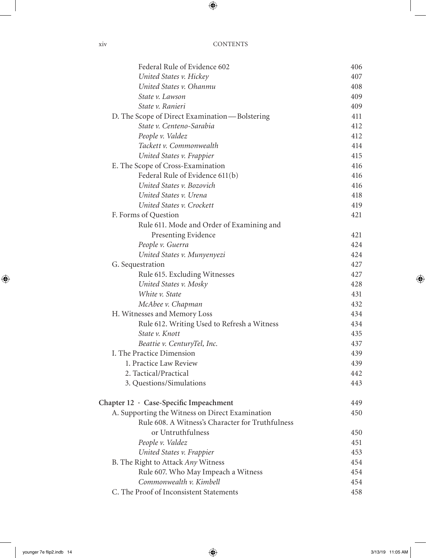| Federal Rule of Evidence 602                     | 406 |
|--------------------------------------------------|-----|
| United States v. Hickey                          | 407 |
| United States v. Ohanmu                          | 408 |
| State v. Lawson                                  | 409 |
| State v. Ranieri                                 | 409 |
| D. The Scope of Direct Examination—Bolstering    | 411 |
| State v. Centeno-Sarabia                         | 412 |
| People v. Valdez                                 | 412 |
| Tackett v. Commonwealth                          | 414 |
| United States v. Frappier                        | 415 |
| E. The Scope of Cross-Examination                | 416 |
| Federal Rule of Evidence 611(b)                  | 416 |
| United States v. Bozovich                        | 416 |
| United States v. Urena                           | 418 |
| United States v. Crockett                        | 419 |
| F. Forms of Question                             | 421 |
| Rule 611. Mode and Order of Examining and        |     |
| Presenting Evidence                              | 421 |
| People v. Guerra                                 | 424 |
| United States v. Munyenyezi                      | 424 |
| G. Sequestration                                 | 427 |
| Rule 615. Excluding Witnesses                    | 427 |
| United States v. Mosky                           | 428 |
| White v. State                                   | 431 |
| McAbee v. Chapman                                | 432 |
| H. Witnesses and Memory Loss                     | 434 |
| Rule 612. Writing Used to Refresh a Witness      | 434 |
| State v. Knott                                   | 435 |
| Beattie v. CenturyTel, Inc.                      | 437 |
| I. The Practice Dimension                        | 439 |
| 1. Practice Law Review                           | 439 |
| 2. Tactical/Practical                            | 442 |
| 3. Questions/Simulations                         | 443 |
| Chapter 12 · Case-Specific Impeachment           | 449 |
| A. Supporting the Witness on Direct Examination  | 450 |
| Rule 608. A Witness's Character for Truthfulness |     |
| or Untruthfulness                                | 450 |
| People v. Valdez                                 | 451 |
| United States v. Frappier                        | 453 |
| B. The Right to Attack Any Witness               | 454 |
| Rule 607. Who May Impeach a Witness              | 454 |
| Commonwealth v. Kimbell                          | 454 |
| C. The Proof of Inconsistent Statements          | 458 |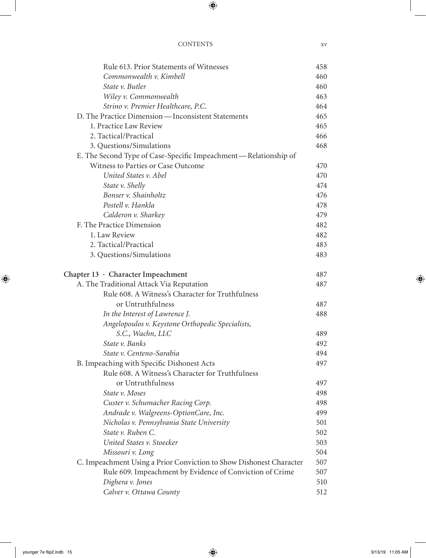| Rule 613. Prior Statements of Witnesses                             | 458 |
|---------------------------------------------------------------------|-----|
| Commonwealth v. Kimbell                                             | 460 |
| State v. Butler                                                     | 460 |
| Wiley v. Commonwealth                                               | 463 |
| Strino v. Premier Healthcare, P.C.                                  | 464 |
| D. The Practice Dimension—Inconsistent Statements                   | 465 |
| 1. Practice Law Review                                              | 465 |
| 2. Tactical/Practical                                               | 466 |
| 3. Questions/Simulations                                            | 468 |
| E. The Second Type of Case-Specific Impeachment—Relationship of     |     |
| Witness to Parties or Case Outcome                                  | 470 |
| United States v. Abel                                               | 470 |
| State v. Shelly                                                     | 474 |
| Bonser v. Shainholtz                                                | 476 |
| Postell v. Hankla                                                   | 478 |
| Calderon v. Sharkey                                                 | 479 |
| F. The Practice Dimension                                           | 482 |
| 1. Law Review                                                       | 482 |
| 2. Tactical/Practical                                               | 483 |
| 3. Questions/Simulations                                            | 483 |
| Chapter $13 \cdot$ Character Impeachment                            | 487 |
| A. The Traditional Attack Via Reputation                            | 487 |
| Rule 608. A Witness's Character for Truthfulness                    |     |
| or Untruthfulness                                                   | 487 |
| In the Interest of Lawrence J.                                      | 488 |
| Angelopoulos v. Keystone Orthopedic Specialists,                    |     |
| S.C., Wachn, LLC                                                    | 489 |
| State v. Banks                                                      | 492 |
| State v. Centeno-Sarabia                                            | 494 |
| B. Impeaching with Specific Dishonest Acts                          | 497 |
| Rule 608. A Witness's Character for Truthfulness                    |     |
| or Untruthfulness                                                   | 497 |
| State v. Moses                                                      | 498 |
| Custer v. Schumacher Racing Corp.                                   | 498 |
| Andrade v. Walgreens-OptionCare, Inc.                               | 499 |
| Nicholas v. Pennsylvania State University                           | 501 |
| State v. Ruben C.                                                   | 502 |
| United States v. Stoecker                                           | 503 |
| Missouri v. Long                                                    | 504 |
| C. Impeachment Using a Prior Conviction to Show Dishonest Character | 507 |
| Rule 609. Impeachment by Evidence of Conviction of Crime            | 507 |
| Dighera v. Jones                                                    | 510 |
| Calver v. Ottawa County                                             | 512 |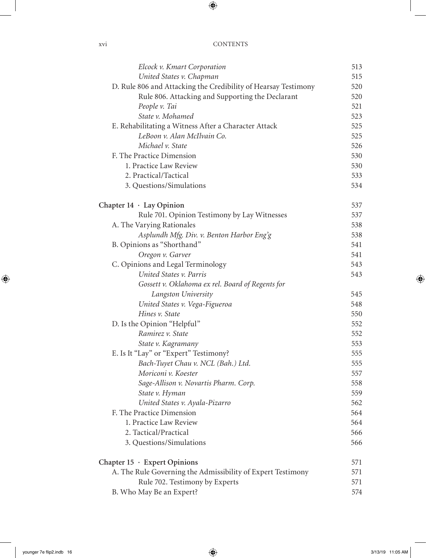| Elcock v. Kmart Corporation                                    | 513 |
|----------------------------------------------------------------|-----|
| United States v. Chapman                                       | 515 |
| D. Rule 806 and Attacking the Credibility of Hearsay Testimony | 520 |
| Rule 806. Attacking and Supporting the Declarant               | 520 |
| People v. Tai                                                  | 521 |
| State v. Mohamed                                               | 523 |
| E. Rehabilitating a Witness After a Character Attack           | 525 |
| LeBoon v. Alan McIlvain Co.                                    | 525 |
| Michael v. State                                               | 526 |
| F. The Practice Dimension                                      | 530 |
| 1. Practice Law Review                                         | 530 |
| 2. Practical/Tactical                                          | 533 |
| 3. Questions/Simulations                                       | 534 |
| Chapter $14 \cdot \text{Lay Opinion}$                          | 537 |
| Rule 701. Opinion Testimony by Lay Witnesses                   | 537 |
| A. The Varying Rationales                                      | 538 |
| Asplundh Mfg. Div. v. Benton Harbor Eng'g                      | 538 |
| B. Opinions as "Shorthand"                                     | 541 |
| Oregon v. Garver                                               | 541 |
| C. Opinions and Legal Terminology                              | 543 |
| United States v. Parris                                        | 543 |
| Gossett v. Oklahoma ex rel. Board of Regents for               |     |
| Langston University                                            | 545 |
| United States v. Vega-Figueroa                                 | 548 |
| Hines v. State                                                 | 550 |
| D. Is the Opinion "Helpful"                                    | 552 |
| Ramirez v. State                                               | 552 |
| State v. Kagramany                                             | 553 |
| E. Is It "Lay" or "Expert" Testimony?                          | 555 |
| Bach-Tuyet Chau v. NCL (Bah.) Ltd.                             | 555 |
| Moriconi v. Koester                                            | 557 |
| Sage-Allison v. Novartis Pharm. Corp.                          | 558 |
| State v. Hyman                                                 | 559 |
| United States v. Ayala-Pizarro                                 | 562 |
| F. The Practice Dimension                                      | 564 |
| 1. Practice Law Review                                         | 564 |
| 2. Tactical/Practical                                          | 566 |
| 3. Questions/Simulations                                       | 566 |
| Chapter $15 \cdot$ Expert Opinions                             | 571 |
| A. The Rule Governing the Admissibility of Expert Testimony    | 571 |
| Rule 702. Testimony by Experts                                 | 571 |
| B. Who May Be an Expert?                                       | 574 |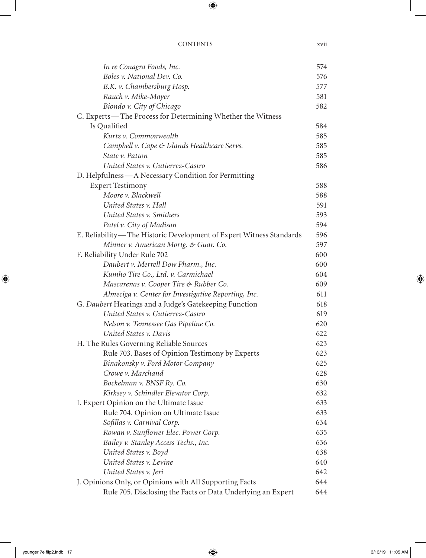| In re Conagra Foods, Inc.                                           | 574 |
|---------------------------------------------------------------------|-----|
| Boles v. National Dev. Co.                                          | 576 |
| B.K. v. Chambersburg Hosp.                                          | 577 |
| Rauch v. Mike-Mayer                                                 | 581 |
| Biondo v. City of Chicago                                           | 582 |
| C. Experts—The Process for Determining Whether the Witness          |     |
| Is Qualified                                                        | 584 |
| Kurtz v. Commonwealth                                               | 585 |
| Campbell v. Cape & Islands Healthcare Servs.                        | 585 |
| State v. Patton                                                     | 585 |
| United States v. Gutierrez-Castro                                   | 586 |
| D. Helpfulness - A Necessary Condition for Permitting               |     |
| <b>Expert Testimony</b>                                             | 588 |
| Moore v. Blackwell                                                  | 588 |
| United States v. Hall                                               | 591 |
| United States v. Smithers                                           | 593 |
| Patel v. City of Madison                                            | 594 |
| E. Reliability—The Historic Development of Expert Witness Standards | 596 |
| Minner v. American Mortg. & Guar. Co.                               | 597 |
| F. Reliability Under Rule 702                                       | 600 |
| Daubert v. Merrell Dow Pharm., Inc.                                 | 600 |
| Kumho Tire Co., Ltd. v. Carmichael                                  | 604 |
| Mascarenas v. Cooper Tire & Rubber Co.                              | 609 |
| Almeciga v. Center for Investigative Reporting, Inc.                | 611 |
| G. Daubert Hearings and a Judge's Gatekeeping Function              | 618 |
| United States v. Gutierrez-Castro                                   | 619 |
| Nelson v. Tennessee Gas Pipeline Co.                                | 620 |
| United States v. Davis                                              | 622 |
| H. The Rules Governing Reliable Sources                             | 623 |
| Rule 703. Bases of Opinion Testimony by Experts                     | 623 |
| Binakonsky v. Ford Motor Company                                    | 625 |
| Crowe v. Marchand                                                   | 628 |
| Bockelman v. BNSF Ry. Co.                                           | 630 |
| Kirksey v. Schindler Elevator Corp.                                 | 632 |
| I. Expert Opinion on the Ultimate Issue                             | 633 |
| Rule 704. Opinion on Ultimate Issue                                 | 633 |
| Sofillas v. Carnival Corp.                                          | 634 |
| Rowan v. Sunflower Elec. Power Corp.                                | 635 |
| Bailey v. Stanley Access Techs., Inc.                               | 636 |
| United States v. Boyd                                               | 638 |
| United States v. Levine                                             | 640 |
| United States v. Jeri                                               | 642 |
| J. Opinions Only, or Opinions with All Supporting Facts             | 644 |
| Rule 705. Disclosing the Facts or Data Underlying an Expert         | 644 |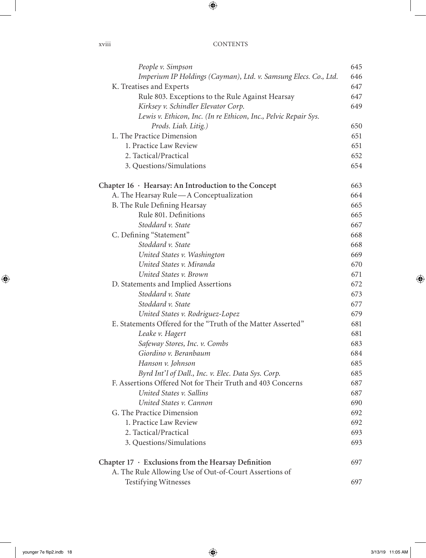| People v. Simpson                                               | 645 |
|-----------------------------------------------------------------|-----|
| Imperium IP Holdings (Cayman), Ltd. v. Samsung Elecs. Co., Ltd. | 646 |
| K. Treatises and Experts                                        | 647 |
| Rule 803. Exceptions to the Rule Against Hearsay                | 647 |
| Kirksey v. Schindler Elevator Corp.                             | 649 |
| Lewis v. Ethicon, Inc. (In re Ethicon, Inc., Pelvic Repair Sys. |     |
| Prods. Liab. Litig.)                                            | 650 |
| L. The Practice Dimension                                       | 651 |
| 1. Practice Law Review                                          | 651 |
| 2. Tactical/Practical                                           | 652 |
| 3. Questions/Simulations                                        | 654 |
| Chapter $16 \cdot$ Hearsay: An Introduction to the Concept      | 663 |
| A. The Hearsay Rule-A Conceptualization                         | 664 |
| B. The Rule Defining Hearsay                                    | 665 |
| Rule 801. Definitions                                           | 665 |
| Stoddard v. State                                               | 667 |
| C. Defining "Statement"                                         | 668 |
| Stoddard v. State                                               | 668 |
| United States v. Washington                                     | 669 |
| United States v. Miranda                                        | 670 |
| United States v. Brown                                          | 671 |
| D. Statements and Implied Assertions                            | 672 |
| Stoddard v. State                                               | 673 |
| Stoddard v. State                                               | 677 |
| United States v. Rodriguez-Lopez                                | 679 |
| E. Statements Offered for the "Truth of the Matter Asserted"    | 681 |
| Leake v. Hagert                                                 | 681 |
| Safeway Stores, Inc. v. Combs                                   | 683 |
| Giordino v. Beranbaum                                           | 684 |
| Hanson v. Johnson                                               | 685 |
| Byrd Int'l of Dall., Inc. v. Elec. Data Sys. Corp.              | 685 |
| F. Assertions Offered Not for Their Truth and 403 Concerns      | 687 |
| United States v. Sallins                                        | 687 |
| United States v. Cannon                                         | 690 |
| G. The Practice Dimension                                       | 692 |
| 1. Practice Law Review                                          | 692 |
| 2. Tactical/Practical                                           | 693 |
| 3. Questions/Simulations                                        | 693 |
| Chapter $17 \cdot$ Exclusions from the Hearsay Definition       | 697 |
| A. The Rule Allowing Use of Out-of-Court Assertions of          |     |
| <b>Testifying Witnesses</b>                                     | 697 |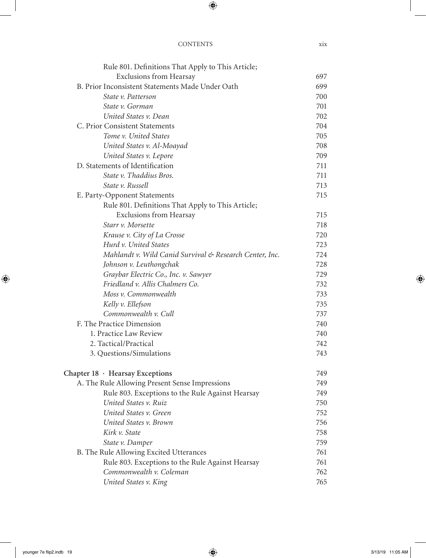| Rule 801. Definitions That Apply to This Article;       |     |
|---------------------------------------------------------|-----|
| <b>Exclusions from Hearsay</b>                          | 697 |
| B. Prior Inconsistent Statements Made Under Oath        | 699 |
| State v. Patterson                                      | 700 |
| State v. Gorman                                         | 701 |
| United States v. Dean                                   | 702 |
| C. Prior Consistent Statements                          | 704 |
| Tome v. United States                                   | 705 |
| United States v. Al-Moayad                              | 708 |
| United States v. Lepore                                 | 709 |
| D. Statements of Identification                         | 711 |
| State v. Thaddius Bros.                                 | 711 |
| State v. Russell                                        | 713 |
| E. Party-Opponent Statements                            | 715 |
| Rule 801. Definitions That Apply to This Article;       |     |
| <b>Exclusions from Hearsay</b>                          | 715 |
| Starr v. Morsette                                       | 718 |
| Krause v. City of La Crosse                             | 720 |
| Hurd v. United States                                   | 723 |
| Mahlandt v. Wild Canid Survival & Research Center, Inc. | 724 |
| Johnson v. Leuthongchak                                 | 728 |
| Graybar Electric Co., Inc. v. Sawyer                    | 729 |
| Friedland v. Allis Chalmers Co.                         | 732 |
| Moss v. Commonwealth                                    | 733 |
| Kelly v. Ellefson                                       | 735 |
| Commonwealth v. Cull                                    | 737 |
| F. The Practice Dimension                               | 740 |
| 1. Practice Law Review                                  | 740 |
| 2. Tactical/Practical                                   | 742 |
| 3. Questions/Simulations                                | 743 |
| Chapter 18 · Hearsay Exceptions                         | 749 |
| A. The Rule Allowing Present Sense Impressions          | 749 |
| Rule 803. Exceptions to the Rule Against Hearsay        | 749 |
| United States v. Ruiz                                   | 750 |
| United States v. Green                                  | 752 |
| United States v. Brown                                  | 756 |
| Kirk v. State                                           | 758 |
| State v. Damper                                         | 759 |
| B. The Rule Allowing Excited Utterances                 | 761 |
| Rule 803. Exceptions to the Rule Against Hearsay        | 761 |
| Commonwealth v. Coleman                                 | 762 |
| United States v. King                                   | 765 |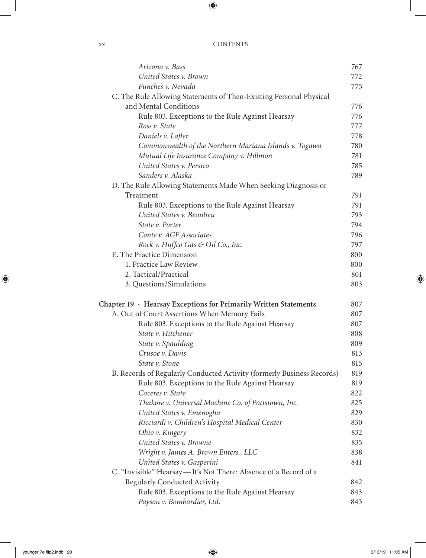| XХ | <b>CONTENTS</b> |
|----|-----------------|
|    |                 |

| Arizona v. Bass                                                                | 767        |
|--------------------------------------------------------------------------------|------------|
| United States v. Brown                                                         | 772        |
| Funches v. Nevada                                                              | 775        |
| C. The Rule Allowing Statements of Then-Existing Personal Physical             |            |
| and Mental Conditions                                                          | 776        |
| Rule 803. Exceptions to the Rule Against Hearsay                               | 776        |
| Ross v. State                                                                  | 777        |
| Daniels v. Lafler                                                              | 778        |
| Commonwealth of the Northern Mariana Islands v. Togawa                         | 780        |
| Mutual Life Insurance Company v. Hillmon                                       | 781        |
| United States v. Persico                                                       | 785        |
| Sanders v. Alaska                                                              | 789        |
| D. The Rule Allowing Statements Made When Seeking Diagnosis or                 |            |
| Treatment                                                                      | 791        |
| Rule 803. Exceptions to the Rule Against Hearsay                               | 791        |
| United States v. Beaulieu                                                      | 793        |
| State v. Porter                                                                | 794        |
| Conte v. AGF Associates                                                        | 796        |
| Rock v. Huffco Gas & Oil Co., Inc.                                             | 797        |
| E. The Practice Dimension                                                      | 800        |
| 1. Practice Law Review                                                         | 800        |
| 2. Tactical/Practical                                                          | 801        |
| 3. Questions/Simulations                                                       | 803        |
| Chapter 19 · Hearsay Exceptions for Primarily Written Statements               | 807        |
| A. Out of Court Assertions When Memory Fails                                   | 807        |
| Rule 803. Exceptions to the Rule Against Hearsay                               | 807        |
| State v. Hitchener                                                             | 808        |
| State v. Spaulding                                                             | 809        |
| Crusoe v. Davis                                                                | 813        |
|                                                                                |            |
| State v. Stone                                                                 | 815        |
| B. Records of Regularly Conducted Activity (formerly Business Records)         | 819        |
| Rule 803. Exceptions to the Rule Against Hearsay                               | 819        |
| Caceres v. State                                                               | 822        |
| Thakore v. Universal Machine Co. of Pottstown, Inc.                            | 825        |
| United States v. Emenogha                                                      | 829        |
| Ricciardi v. Children's Hospital Medical Center                                | 830        |
| Ohio v. Kingery                                                                | 832        |
| United States v. Browne                                                        | 835        |
| Wright v. James A. Brown Enters., LLC                                          | 838        |
| United States v. Gasperini                                                     | 841        |
| C. "Invisible" Hearsay—It's Not There: Absence of a Record of a                |            |
| Regularly Conducted Activity                                                   | 842        |
| Rule 803. Exceptions to the Rule Against Hearsay<br>Payson v. Bombardier, Ltd. | 843<br>843 |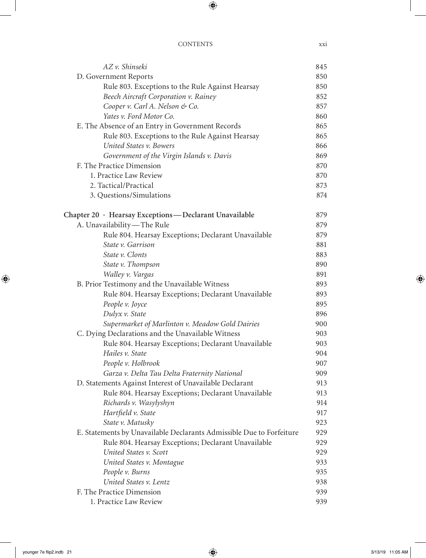| AZ v. Shinseki                                                       | 845 |
|----------------------------------------------------------------------|-----|
| D. Government Reports                                                | 850 |
| Rule 803. Exceptions to the Rule Against Hearsay                     | 850 |
| Beech Aircraft Corporation v. Rainey                                 | 852 |
| Cooper v. Carl A. Nelson & Co.                                       | 857 |
| Yates v. Ford Motor Co.                                              | 860 |
| E. The Absence of an Entry in Government Records                     | 865 |
| Rule 803. Exceptions to the Rule Against Hearsay                     | 865 |
| United States v. Bowers                                              | 866 |
| Government of the Virgin Islands v. Davis                            | 869 |
| F. The Practice Dimension                                            | 870 |
| 1. Practice Law Review                                               | 870 |
| 2. Tactical/Practical                                                | 873 |
| 3. Questions/Simulations                                             | 874 |
| Chapter 20 · Hearsay Exceptions - Declarant Unavailable              | 879 |
| A. Unavailability-The Rule                                           | 879 |
| Rule 804. Hearsay Exceptions; Declarant Unavailable                  | 879 |
| State v. Garrison                                                    | 881 |
| State v. Clonts                                                      | 883 |
| State v. Thompson                                                    | 890 |
| Walley v. Vargas                                                     | 891 |
| B. Prior Testimony and the Unavailable Witness                       | 893 |
| Rule 804. Hearsay Exceptions; Declarant Unavailable                  | 893 |
| People v. Joyce                                                      | 895 |
| Dulyx v. State                                                       | 896 |
| Supermarket of Marlinton v. Meadow Gold Dairies                      | 900 |
| C. Dying Declarations and the Unavailable Witness                    | 903 |
| Rule 804. Hearsay Exceptions; Declarant Unavailable                  | 903 |
| Hailes v. State                                                      | 904 |
| People v. Holbrook                                                   | 907 |
| Garza v. Delta Tau Delta Fraternity National                         | 909 |
| D. Statements Against Interest of Unavailable Declarant              | 913 |
| Rule 804. Hearsay Exceptions; Declarant Unavailable                  | 913 |
| Richards v. Wasylyshyn                                               | 914 |
| Hartfield v. State                                                   | 917 |
| State v. Matusky                                                     | 923 |
| E. Statements by Unavailable Declarants Admissible Due to Forfeiture | 929 |
| Rule 804. Hearsay Exceptions; Declarant Unavailable                  | 929 |
| United States v. Scott                                               | 929 |
| United States v. Montague                                            | 933 |
| People v. Burns                                                      | 935 |
| United States v. Lentz                                               | 938 |
| F. The Practice Dimension                                            | 939 |
| 1. Practice Law Review                                               | 939 |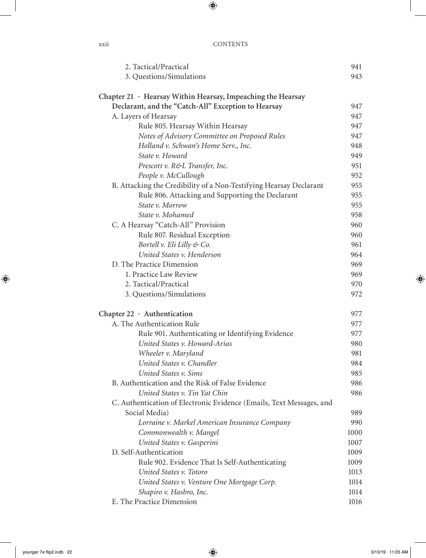| 2. Tactical/Practical                                                | 941  |
|----------------------------------------------------------------------|------|
| 3. Questions/Simulations                                             | 943  |
|                                                                      |      |
| Chapter $21 \cdot$ Hearsay Within Hearsay, Impeaching the Hearsay    |      |
| Declarant, and the "Catch-All" Exception to Hearsay                  | 947  |
| A. Layers of Hearsay                                                 | 947  |
| Rule 805. Hearsay Within Hearsay                                     | 947  |
| Notes of Advisory Committee on Proposed Rules                        | 947  |
| Holland v. Schwan's Home Serv., Inc.                                 | 948  |
| State v. Howard                                                      | 949  |
| Prescott v. R&L Transfer, Inc.                                       | 951  |
| People v. McCullough                                                 | 952  |
| B. Attacking the Credibility of a Non-Testifying Hearsay Declarant   | 955  |
| Rule 806. Attacking and Supporting the Declarant                     | 955  |
| State v. Morrow                                                      | 955  |
| State v. Mohamed                                                     | 958  |
| C. A Hearsay "Catch-All" Provision                                   | 960  |
| Rule 807. Residual Exception                                         | 960  |
| Bortell v. Eli Lilly & Co.                                           | 961  |
| United States v. Henderson                                           | 964  |
| D. The Practice Dimension                                            | 969  |
| 1. Practice Law Review                                               | 969  |
| 2. Tactical/Practical                                                | 970  |
| 3. Questions/Simulations                                             | 972  |
| Chapter $22 \cdot$ Authentication                                    | 977  |
| A. The Authentication Rule                                           | 977  |
| Rule 901. Authenticating or Identifying Evidence                     | 977  |
| United States v. Howard-Arias                                        | 980  |
| Wheeler v. Maryland                                                  | 981  |
| United States v. Chandler                                            | 984  |
| United States v. Sims                                                | 985  |
| B. Authentication and the Risk of False Evidence                     | 986  |
| United States v. Tin Yat Chin                                        | 986  |
| C. Authentication of Electronic Evidence (Emails, Text Messages, and |      |
| Social Media)                                                        | 989  |
| Lorraine v. Markel American Insurance Company                        | 990  |
| Commonwealth v. Mangel                                               | 1000 |
| United States v. Gasperini                                           | 1007 |
| D. Self-Authentication                                               | 1009 |
| Rule 902. Evidence That Is Self-Authenticating                       | 1009 |
| United States v. Totoro                                              | 1013 |
| United States v. Venture One Mortgage Corp.                          | 1014 |
| Shapiro v. Hasbro, Inc.                                              | 1014 |
| E. The Practice Dimension                                            | 1016 |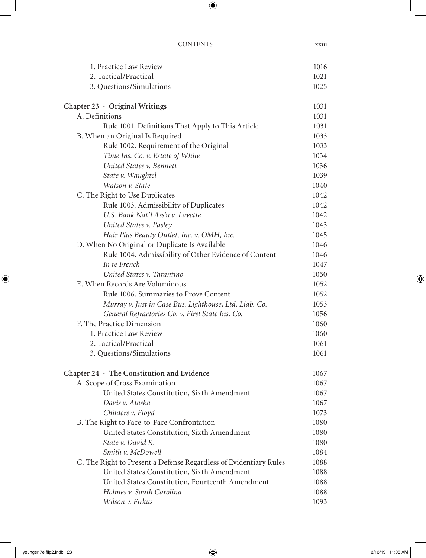| 1. Practice Law Review                                            | 1016 |
|-------------------------------------------------------------------|------|
| 2. Tactical/Practical                                             | 1021 |
| 3. Questions/Simulations                                          | 1025 |
| Chapter $23 \cdot$ Original Writings                              | 1031 |
| A. Definitions                                                    | 1031 |
| Rule 1001. Definitions That Apply to This Article                 | 1031 |
| B. When an Original Is Required                                   | 1033 |
| Rule 1002. Requirement of the Original                            | 1033 |
| Time Ins. Co. v. Estate of White                                  | 1034 |
| United States v. Bennett                                          | 1036 |
| State v. Waughtel                                                 | 1039 |
| Watson v. State                                                   | 1040 |
| C. The Right to Use Duplicates                                    | 1042 |
| Rule 1003. Admissibility of Duplicates                            | 1042 |
| U.S. Bank Nat'l Ass'n v. Lavette                                  | 1042 |
| United States v. Pasley                                           | 1043 |
| Hair Plus Beauty Outlet, Inc. v. OMH, Inc.                        | 1045 |
| D. When No Original or Duplicate Is Available                     | 1046 |
| Rule 1004. Admissibility of Other Evidence of Content             | 1046 |
| In re French                                                      | 1047 |
| United States v. Tarantino                                        | 1050 |
| E. When Records Are Voluminous                                    | 1052 |
| Rule 1006. Summaries to Prove Content                             | 1052 |
| Murray v. Just in Case Bus. Lighthouse, Ltd. Liab. Co.            | 1053 |
| General Refractories Co. v. First State Ins. Co.                  | 1056 |
| F. The Practice Dimension                                         | 1060 |
| 1. Practice Law Review                                            | 1060 |
| 2. Tactical/Practical                                             | 1061 |
| 3. Questions/Simulations                                          | 1061 |
| Chapter $24 \cdot$ The Constitution and Evidence                  | 1067 |
| A. Scope of Cross Examination                                     | 1067 |
| United States Constitution, Sixth Amendment                       | 1067 |
| Davis v. Alaska                                                   | 1067 |
| Childers v. Floyd                                                 | 1073 |
| B. The Right to Face-to-Face Confrontation                        | 1080 |
| United States Constitution, Sixth Amendment                       | 1080 |
| State v. David K.                                                 | 1080 |
| Smith v. McDowell                                                 | 1084 |
| C. The Right to Present a Defense Regardless of Evidentiary Rules | 1088 |
| United States Constitution, Sixth Amendment                       | 1088 |
| United States Constitution, Fourteenth Amendment                  | 1088 |
| Holmes v. South Carolina                                          | 1088 |
| Wilson v. Firkus                                                  | 1093 |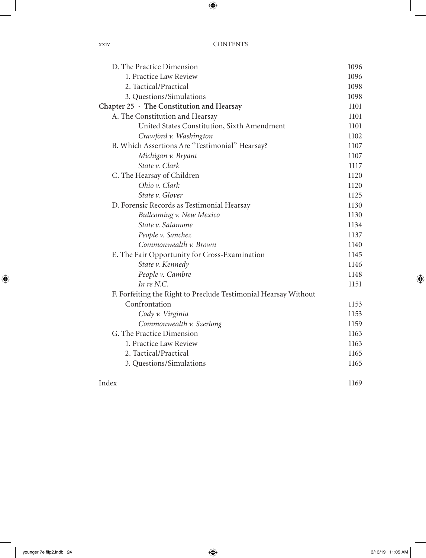| D. The Practice Dimension                                       | 1096 |
|-----------------------------------------------------------------|------|
| 1. Practice Law Review                                          | 1096 |
| 2. Tactical/Practical                                           | 1098 |
| 3. Questions/Simulations                                        | 1098 |
| Chapter $25 \cdot$ The Constitution and Hearsay                 | 1101 |
| A. The Constitution and Hearsay                                 | 1101 |
| United States Constitution, Sixth Amendment                     | 1101 |
| Crawford v. Washington                                          | 1102 |
| B. Which Assertions Are "Testimonial" Hearsay?                  | 1107 |
| Michigan v. Bryant                                              | 1107 |
| State v. Clark                                                  | 1117 |
| C. The Hearsay of Children                                      | 1120 |
| Ohio v. Clark                                                   | 1120 |
| State v. Glover                                                 | 1125 |
| D. Forensic Records as Testimonial Hearsay                      | 1130 |
| <b>Bullcoming v. New Mexico</b>                                 | 1130 |
| State v. Salamone                                               | 1134 |
| People v. Sanchez                                               | 1137 |
| Commonwealth v. Brown                                           | 1140 |
| E. The Fair Opportunity for Cross-Examination                   | 1145 |
| State v. Kennedy                                                | 1146 |
| People v. Cambre                                                | 1148 |
| In $re$ N.C.                                                    | 1151 |
| F. Forfeiting the Right to Preclude Testimonial Hearsay Without |      |
| Confrontation                                                   | 1153 |
| Cody v. Virginia                                                | 1153 |
| Commonwealth v. Szerlong                                        | 1159 |
| G. The Practice Dimension                                       | 1163 |
| 1. Practice Law Review                                          | 1163 |
| 2. Tactical/Practical                                           | 1165 |
| 3. Questions/Simulations                                        | 1165 |
|                                                                 |      |

Index 1169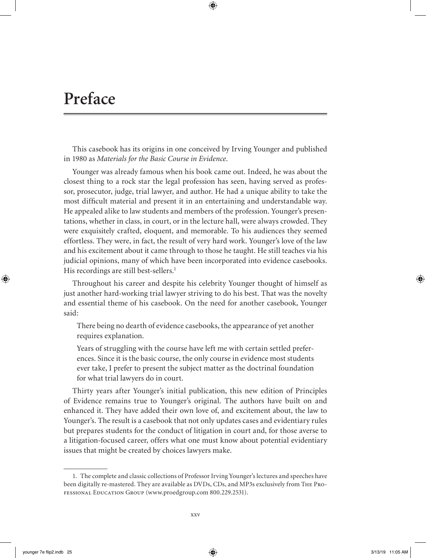# **Preface**

This casebook has its origins in one conceived by Irving Younger and published in 1980 as *Materials for the Basic Course in Evidence*.

Younger was already famous when his book came out. Indeed, he was about the closest thing to a rock star the legal profession has seen, having served as professor, prosecutor, judge, trial lawyer, and author. He had a unique ability to take the most difficult material and present it in an entertaining and understandable way. He appealed alike to law students and members of the profession. Younger's presentations, whether in class, in court, or in the lecture hall, were always crowded. They were exquisitely crafted, eloquent, and memorable. To his audiences they seemed effortless. They were, in fact, the result of very hard work. Younger's love of the law and his excitement about it came through to those he taught. He still teaches via his judicial opinions, many of which have been incorporated into evidence casebooks. His recordings are still best-sellers.<sup>1</sup>

Throughout his career and despite his celebrity Younger thought of himself as just another hard-working trial lawyer striving to do his best. That was the novelty and essential theme of his casebook. On the need for another casebook, Younger said:

There being no dearth of evidence casebooks, the appearance of yet another requires explanation.

Years of struggling with the course have left me with certain settled preferences. Since it is the basic course, the only course in evidence most students ever take, I prefer to present the subject matter as the doctrinal foundation for what trial lawyers do in court.

Thirty years after Younger's initial publication, this new edition of Principles of Evidence remains true to Younger's original. The authors have built on and enhanced it. They have added their own love of, and excitement about, the law to Younger's. The result is a casebook that not only updates cases and evidentiary rules but prepares students for the conduct of litigation in court and, for those averse to a litigation-focused career, offers what one must know about potential evidentiary issues that might be created by choices lawyers make.

<sup>1.</sup> The complete and classic collections of Professor Irving Younger's lectures and speeches have been digitally re-mastered. They are available as DVDs, CDs, and MP3s exclusively from The Professional Education Group (www.proedgroup.com 800.229.2531).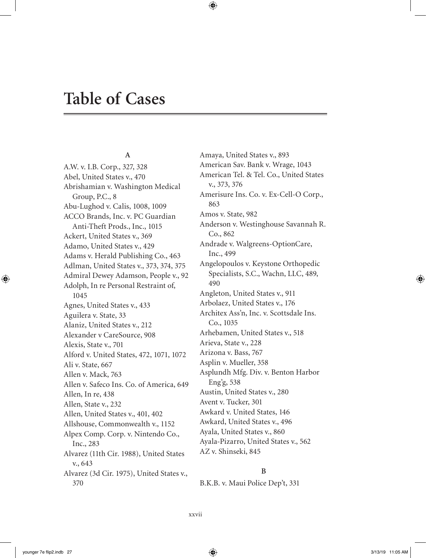# **Table of Cases**

## **A**

A.W. v. I.B. Corp., 327, 328 Abel, United States v., 470 Abrishamian v. Washington Medical Group, P.C., 8 Abu-Lughod v. Calis, 1008, 1009 ACCO Brands, Inc. v. PC Guardian Anti-Theft Prods., Inc., 1015 Ackert, United States v., 369 Adamo, United States v., 429 Adams v. Herald Publishing Co., 463 Adlman, United States v., 373, 374, 375 Admiral Dewey Adamson, People v., 92 Adolph, In re Personal Restraint of, 1045 Agnes, United States v., 433 Aguilera v. State, 33 Alaniz, United States v., 212 Alexander v CareSource, 908 Alexis, State v., 701 Alford v. United States, 472, 1071, 1072 Ali v. State, 667 Allen v. Mack, 763 Allen v. Safeco Ins. Co. of America, 649 Allen, In re, 438 Allen, State v., 232 Allen, United States v., 401, 402 Allshouse, Commonwealth v., 1152 Alpex Comp. Corp. v. Nintendo Co., Inc., 283 Alvarez (11th Cir. 1988), United States v., 643 Alvarez (3d Cir. 1975), United States v., 370

Amaya, United States v., 893 American Sav. Bank v. Wrage, 1043 American Tel. & Tel. Co., United States v., 373, 376 Amerisure Ins. Co. v. Ex-Cell-O Corp., 863 Amos v. State, 982 Anderson v. Westinghouse Savannah R. Co., 862 Andrade v. Walgreens-OptionCare, Inc., 499 Angelopoulos v. Keystone Orthopedic Specialists, S.C., Wachn, LLC, 489, 490 Angleton, United States v., 911 Arbolaez, United States v., 176 Architex Ass'n, Inc. v. Scottsdale Ins. Co., 1035 Arhebamen, United States v., 518 Arieva, State v., 228 Arizona v. Bass, 767 Asplin v. Mueller, 358 Asplundh Mfg. Div. v. Benton Harbor Eng'g, 538 Austin, United States v., 280 Avent v. Tucker, 301 Awkard v. United States, 146 Awkard, United States v., 496 Ayala, United States v., 860 Ayala-Pizarro, United States v., 562 AZ v. Shinseki, 845

### **B**

B.K.B. v. Maui Police Dep't, 331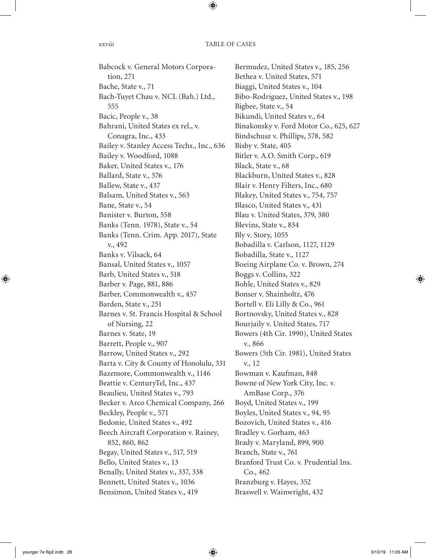## xxviii TABLE OF CASES

Babcock v. General Motors Corporation, 271 Bache, State v., 71 Bach-Tuyet Chau v. NCL (Bah.) Ltd., 555 Bacic, People v., 38 Bahrani, United States ex rel., v. Conagra, Inc., 433 Bailey v. Stanley Access Techs., Inc., 636 Bailey v. Woodford, 1088 Baker, United States v., 176 Ballard, State v., 576 Ballew, State v., 437 Balsam, United States v., 563 Bane, State v., 54 Banister v. Burton, 558 Banks (Tenn. 1978), State v., 54 Banks (Tenn. Crim. App. 2017), State v., 492 Banks v. Vilsack, 64 Bansal, United States v., 1057 Barb, United States v., 518 Barber v. Page, 881, 886 Barber, Commonwealth v., 457 Barden, State v., 251 Barnes v. St. Francis Hospital & School of Nursing, 22 Barnes v. State, 19 Barrett, People v., 907 Barrow, United States v., 292 Barta v. City & County of Honolulu, 331 Bazemore, Commonwealth v., 1146 Beattie v. CenturyTel, Inc., 437 Beaulieu, United States v., 793 Becker v. Arco Chemical Company, 266 Beckley, People v., 571 Bedonie, United States v., 492 Beech Aircraft Corporation v. Rainey, 852, 860, 862 Begay, United States v., 517, 519 Bello, United States v., 13 Benally, United States v., 337, 338 Bennett, United States v., 1036 Bensimon, United States v., 419

Bermudez, United States v., 185, 256 Bethea v. United States, 571 Biaggi, United States v., 104 Bibo-Rodriguez, United States v., 198 Bigbee, State v., 54 Bikundi, United States v., 64 Binakonsky v. Ford Motor Co., 625, 627 Bindschusz v. Phillips, 578, 582 Bisby v. State, 405 Bitler v. A.O. Smith Corp., 619 Black, State v., 68 Blackburn, United States v., 828 Blair v. Henry Filters, Inc., 680 Blakey, United States v., 754, 757 Blasco, United States v., 431 Blau v. United States, 379, 380 Blevins, State v., 834 Bly v. Story, 1055 Bobadilla v. Carlson, 1127, 1129 Bobadilla, State v., 1127 Boeing Airplane Co. v. Brown, 274 Boggs v. Collins, 322 Bohle, United States v., 829 Bonser v. Shainholtz, 476 Bortell v. Eli Lilly & Co., 961 Bortnovsky, United States v., 828 Bourjaily v. United States, 717 Bowers (4th Cir. 1990), United States v., 866 Bowers (5th Cir. 1981), United States v., 12 Bowman v. Kaufman, 848 Bowne of New York City, Inc. v. AmBase Corp., 376 Boyd, United States v., 199 Boyles, United States v., 94, 95 Bozovich, United States v., 416 Bradley v. Gorham, 463 Brady v. Maryland, 899, 900 Branch, State v., 761 Branford Trust Co. v. Prudential Ins. Co., 462 Branzburg v. Hayes, 352 Braswell v. Wainwright, 432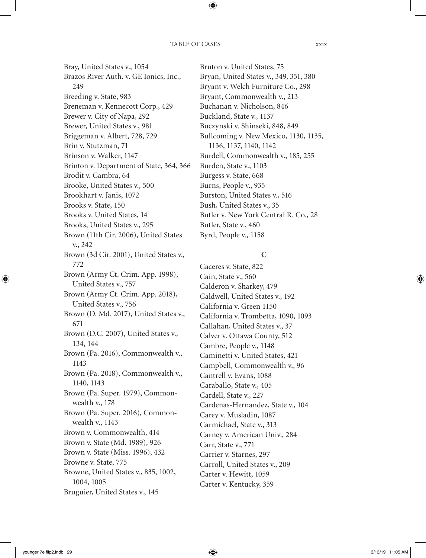Bray, United States v., 1054 Brazos River Auth. v. GE Ionics, Inc., 249 Breeding v. State, 983 Breneman v. Kennecott Corp., 429 Brewer v. City of Napa, 292 Brewer, United States v., 981 Briggeman v. Albert, 728, 729 Brin v. Stutzman, 71 Brinson v. Walker, 1147 Brinton v. Department of State, 364, 366 Brodit v. Cambra, 64 Brooke, United States v., 500 Brookhart v. Janis, 1072 Brooks v. State, 150 Brooks v. United States, 14 Brooks, United States v., 295 Brown (11th Cir. 2006), United States v., 242 Brown (3d Cir. 2001), United States v., 772 Brown (Army Ct. Crim. App. 1998), United States v., 757 Brown (Army Ct. Crim. App. 2018), United States v., 756 Brown (D. Md. 2017), United States v., 671 Brown (D.C. 2007), United States v., 134, 144 Brown (Pa. 2016), Commonwealth v., 1143 Brown (Pa. 2018), Commonwealth v., 1140, 1143 Brown (Pa. Super. 1979), Commonwealth v., 178 Brown (Pa. Super. 2016), Commonwealth v., 1143 Brown v. Commonwealth, 414 Brown v. State (Md. 1989), 926 Brown v. State (Miss. 1996), 432 Browne v. State, 775 Browne, United States v., 835, 1002, 1004, 1005 Bruguier, United States v., 145

Bruton v. United States, 75 Bryan, United States v., 349, 351, 380 Bryant v. Welch Furniture Co., 298 Bryant, Commonwealth v., 213 Buchanan v. Nicholson, 846 Buckland, State v., 1137 Buczynski v. Shinseki, 848, 849 Bullcoming v. New Mexico, 1130, 1135, 1136, 1137, 1140, 1142 Burdell, Commonwealth v., 185, 255 Burden, State v., 1103 Burgess v. State, 668 Burns, People v., 935 Burston, United States v., 516 Bush, United States v., 35 Butler v. New York Central R. Co., 28 Butler, State v., 460 Byrd, People v., 1158

# **C**

Caceres v. State, 822 Cain, State v., 560 Calderon v. Sharkey, 479 Caldwell, United States v., 192 California v. Green 1150 California v. Trombetta, 1090, 1093 Callahan, United States v., 37 Calver v. Ottawa County, 512 Cambre, People v., 1148 Caminetti v. United States, 421 Campbell, Commonwealth v., 96 Cantrell v. Evans, 1088 Caraballo, State v., 405 Cardell, State v., 227 Cardenas-Hernandez, State v., 104 Carey v. Musladin, 1087 Carmichael, State v., 313 Carney v. American Univ., 284 Carr, State v., 771 Carrier v. Starnes, 297 Carroll, United States v., 209 Carter v. Hewitt, 1059 Carter v. Kentucky, 359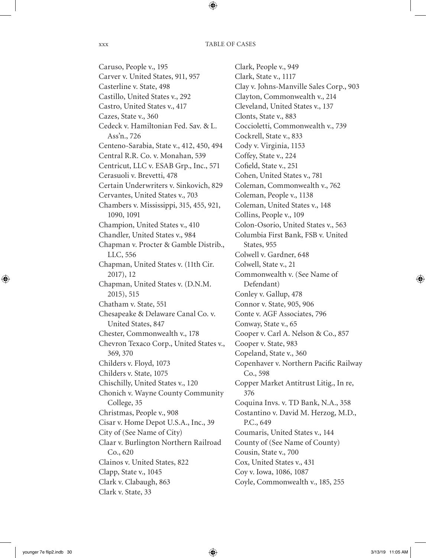Caruso, People v., 195 Carver v. United States, 911, 957 Casterline v. State, 498 Castillo, United States v., 292 Castro, United States v., 417 Cazes, State v., 360 Cedeck v. Hamiltonian Fed. Sav. & L. Ass'n., 726 Centeno-Sarabia, State v., 412, 450, 494 Central R.R. Co. v. Monahan, 539 Centricut, LLC v. ESAB Grp., Inc., 571 Cerasuoli v. Brevetti, 478 Certain Underwriters v. Sinkovich, 829 Cervantes, United States v., 703 Chambers v. Mississippi, 315, 455, 921, 1090, 1091 Champion, United States v., 410 Chandler, United States v., 984 Chapman v. Procter & Gamble Distrib., LLC, 556 Chapman, United States v. (11th Cir. 2017), 12 Chapman, United States v. (D.N.M. 2015), 515 Chatham v. State, 551 Chesapeake & Delaware Canal Co. v. United States, 847 Chester, Commonwealth v., 178 Chevron Texaco Corp., United States v., 369, 370 Childers v. Floyd, 1073 Childers v. State, 1075 Chischilly, United States v., 120 Chonich v. Wayne County Community College, 35 Christmas, People v., 908 Cisar v. Home Depot U.S.A., Inc., 39 City of (See Name of City) Claar v. Burlington Northern Railroad Co., 620 Clainos v. United States, 822 Clapp, State v., 1045 Clark v. Clabaugh, 863 Clark v. State, 33

Clark, People v., 949 Clark, State v., 1117 Clay v. Johns-Manville Sales Corp., 903 Clayton, Commonwealth v., 214 Cleveland, United States v., 137 Clonts, State v., 883 Coccioletti, Commonwealth v., 739 Cockrell, State v., 833 Cody v. Virginia, 1153 Coffey, State v., 224 Cofield, State v., 251 Cohen, United States v., 781 Coleman, Commonwealth v., 762 Coleman, People v., 1138 Coleman, United States v., 148 Collins, People v., 109 Colon-Osorio, United States v., 563 Columbia First Bank, FSB v. United States, 955 Colwell v. Gardner, 648 Colwell, State v., 21 Commonwealth v. (See Name of Defendant) Conley v. Gallup, 478 Connor v. State, 905, 906 Conte v. AGF Associates, 796 Conway, State v., 65 Cooper v. Carl A. Nelson & Co., 857 Cooper v. State, 983 Copeland, State v., 360 Copenhaver v. Northern Pacific Railway Co., 598 Copper Market Antitrust Litig., In re, 376 Coquina Invs. v. TD Bank, N.A., 358 Costantino v. David M. Herzog, M.D., P.C., 649 Coumaris, United States v., 144 County of (See Name of County) Cousin, State v., 700 Cox, United States v., 431 Coy v. Iowa, 1086, 1087 Coyle, Commonwealth v., 185, 255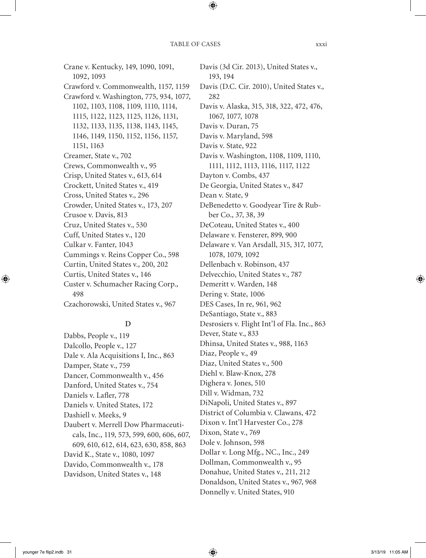Crane v. Kentucky, 149, 1090, 1091, 1092, 1093 Crawford v. Commonwealth, 1157, 1159 Crawford v. Washington, 775, 934, 1077, 1102, 1103, 1108, 1109, 1110, 1114, 1115, 1122, 1123, 1125, 1126, 1131, 1132, 1133, 1135, 1138, 1143, 1145, 1146, 1149, 1150, 1152, 1156, 1157, 1151, 1163 Creamer, State v., 702 Crews, Commonwealth v., 95 Crisp, United States v., 613, 614 Crockett, United States v., 419 Cross, United States v., 296 Crowder, United States v., 173, 207 Crusoe v. Davis, 813 Cruz, United States v., 530 Cuff, United States v., 120 Culkar v. Fanter, 1043 Cummings v. Reins Copper Co., 598 Curtin, United States v., 200, 202 Curtis, United States v., 146 Custer v. Schumacher Racing Corp., 498 Czachorowski, United States v., 967

# **D**

Dabbs, People v., 119 Dalcollo, People v., 127 Dale v. Ala Acquisitions I, Inc., 863 Damper, State v., 759 Dancer, Commonwealth v., 456 Danford, United States v., 754 Daniels v. Lafler, 778 Daniels v. United States, 172 Dashiell v. Meeks, 9 Daubert v. Merrell Dow Pharmaceuticals, Inc., 119, 573, 599, 600, 606, 607, 609, 610, 612, 614, 623, 630, 858, 863 David K., State v., 1080, 1097 Davido, Commonwealth v., 178 Davidson, United States v., 148

Davis (3d Cir. 2013), United States v., 193, 194 Davis (D.C. Cir. 2010), United States v., 282 Davis v. Alaska, 315, 318, 322, 472, 476, 1067, 1077, 1078 Davis v. Duran, 75 Davis v. Maryland, 598 Davis v. State, 922 Davis v. Washington, 1108, 1109, 1110, 1111, 1112, 1113, 1116, 1117, 1122 Dayton v. Combs, 437 De Georgia, United States v., 847 Dean v. State, 9 DeBenedetto v. Goodyear Tire & Rubber Co., 37, 38, 39 DeCoteau, United States v., 400 Delaware v. Fensterer, 899, 900 Delaware v. Van Arsdall, 315, 317, 1077, 1078, 1079, 1092 Dellenbach v. Robinson, 437 Delvecchio, United States v., 787 Demeritt v. Warden, 148 Dering v. State, 1006 DES Cases, In re, 961, 962 DeSantiago, State v., 883 Desrosiers v. Flight Int'l of Fla. Inc., 863 Dever, State v., 833 Dhinsa, United States v., 988, 1163 Diaz, People v., 49 Diaz, United States v., 500 Diehl v. Blaw-Knox, 278 Dighera v. Jones, 510 Dill v. Widman, 732 DiNapoli, United States v., 897 District of Columbia v. Clawans, 472 Dixon v. Int'l Harvester Co., 278 Dixon, State v., 769 Dole v. Johnson, 598 Dollar v. Long Mfg., NC., Inc., 249 Dollman, Commonwealth v., 95 Donahue, United States v., 211, 212 Donaldson, United States v., 967, 968 Donnelly v. United States, 910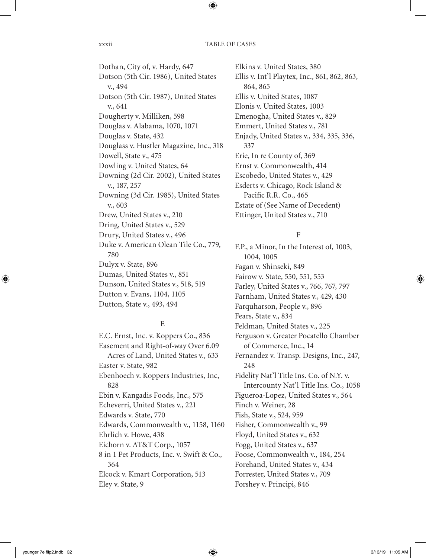Dothan, City of, v. Hardy, 647 Dotson (5th Cir. 1986), United States v., 494 Dotson (5th Cir. 1987), United States v., 641 Dougherty v. Milliken, 598 Douglas v. Alabama, 1070, 1071 Douglas v. State, 432 Douglass v. Hustler Magazine, Inc., 318 Dowell, State v., 475 Dowling v. United States, 64 Downing (2d Cir. 2002), United States v., 187, 257 Downing (3d Cir. 1985), United States v., 603 Drew, United States v., 210 Dring, United States v., 529 Drury, United States v., 496 Duke v. American Olean Tile Co., 779, 780 Dulyx v. State, 896 Dumas, United States v., 851 Dunson, United States v., 518, 519 Dutton v. Evans, 1104, 1105 Dutton, State v., 493, 494

# **E**

E.C. Ernst, Inc. v. Koppers Co., 836 Easement and Right-of-way Over 6.09 Acres of Land, United States v., 633 Easter v. State, 982 Ebenhoech v. Koppers Industries, Inc, 828 Ebin v. Kangadis Foods, Inc., 575 Echeverri, United States v., 221 Edwards v. State, 770 Edwards, Commonwealth v., 1158, 1160 Ehrlich v. Howe, 438 Eichorn v. AT&T Corp., 1057 8 in 1 Pet Products, Inc. v. Swift & Co., 364 Elcock v. Kmart Corporation, 513 Eley v. State, 9

Elkins v. United States, 380 Ellis v. Int'l Playtex, Inc., 861, 862, 863, 864, 865 Ellis v. United States, 1087 Elonis v. United States, 1003 Emenogha, United States v., 829 Emmert, United States v., 781 Enjady, United States v., 334, 335, 336, 337 Erie, In re County of, 369 Ernst v. Commonwealth, 414 Escobedo, United States v., 429 Esderts v. Chicago, Rock Island & Pacific R.R. Co., 465 Estate of (See Name of Decedent) Ettinger, United States v., 710

# **F**

F.P., a Minor, In the Interest of, 1003, 1004, 1005 Fagan v. Shinseki, 849 Fairow v. State, 550, 551, 553 Farley, United States v., 766, 767, 797 Farnham, United States v., 429, 430 Farquharson, People v., 896 Fears, State v., 834 Feldman, United States v., 225 Ferguson v. Greater Pocatello Chamber of Commerce, Inc., 14 Fernandez v. Transp. Designs, Inc., 247, 248 Fidelity Nat'l Title Ins. Co. of N.Y. v. Intercounty Nat'l Title Ins. Co., 1058 Figueroa-Lopez, United States v., 564 Finch v. Weiner, 28 Fish, State v., 524, 959 Fisher, Commonwealth v., 99 Floyd, United States v., 632 Fogg, United States v., 637 Foose, Commonwealth v., 184, 254 Forehand, United States v., 434 Forrester, United States v., 709 Forshey v. Principi, 846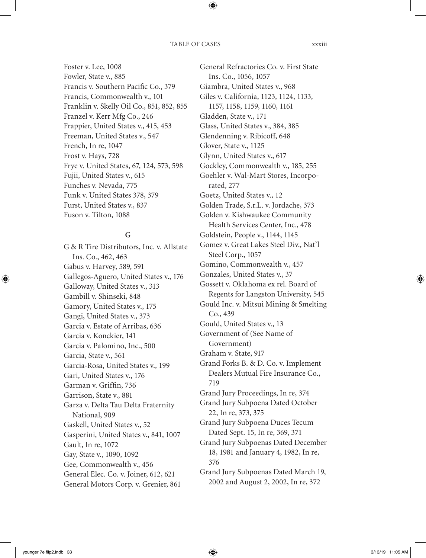Foster v. Lee, 1008 Fowler, State v., 885 Francis v. Southern Pacific Co., 379 Francis, Commonwealth v., 101 Franklin v. Skelly Oil Co., 851, 852, 855 Franzel v. Kerr Mfg Co., 246 Frappier, United States v., 415, 453 Freeman, United States v., 547 French, In re, 1047 Frost v. Hays, 728 Frye v. United States, 67, 124, 573, 598 Fujii, United States v., 615 Funches v. Nevada, 775 Funk v. United States 378, 379 Furst, United States v., 837 Fuson v. Tilton, 1088

# **G**

G & R Tire Distributors, Inc. v. Allstate Ins. Co., 462, 463 Gabus v. Harvey, 589, 591 Gallegos-Aguero, United States v., 176 Galloway, United States v., 313 Gambill v. Shinseki, 848 Gamory, United States v., 175 Gangi, United States v., 373 Garcia v. Estate of Arribas, 636 Garcia v. Konckier, 141 Garcia v. Palomino, Inc., 500 Garcia, State v., 561 Garcia-Rosa, United States v., 199 Gari, United States v., 176 Garman v. Griffin, 736 Garrison, State v., 881 Garza v. Delta Tau Delta Fraternity National, 909 Gaskell, United States v., 52 Gasperini, United States v., 841, 1007 Gault, In re, 1072 Gay, State v., 1090, 1092 Gee, Commonwealth v., 456 General Elec. Co. v. Joiner, 612, 621 General Motors Corp. v. Grenier, 861

General Refractories Co. v. First State Ins. Co., 1056, 1057 Giambra, United States v., 968 Giles v. California, 1123, 1124, 1133, 1157, 1158, 1159, 1160, 1161 Gladden, State v., 171 Glass, United States v., 384, 385 Glendenning v. Ribicoff, 648 Glover, State v., 1125 Glynn, United States v., 617 Gockley, Commonwealth v., 185, 255 Goehler v. Wal-Mart Stores, Incorporated, 277 Goetz, United States v., 12 Golden Trade, S.r.L. v. Jordache, 373 Golden v. Kishwaukee Community Health Services Center, Inc., 478 Goldstein, People v., 1144, 1145 Gomez v. Great Lakes Steel Div., Nat'l Steel Corp., 1057 Gomino, Commonwealth v., 457 Gonzales, United States v., 37 Gossett v. Oklahoma ex rel. Board of Regents for Langston University, 545 Gould Inc. v. Mitsui Mining & Smelting Co., 439 Gould, United States v., 13 Government of (See Name of Government) Graham v. State, 917 Grand Forks B. & D. Co. v. Implement Dealers Mutual Fire Insurance Co., 719 Grand Jury Proceedings, In re, 374 Grand Jury Subpoena Dated October 22, In re, 373, 375 Grand Jury Subpoena Duces Tecum Dated Sept. 15, In re, 369, 371 Grand Jury Subpoenas Dated December 18, 1981 and January 4, 1982, In re, 376 Grand Jury Subpoenas Dated March 19, 2002 and August 2, 2002, In re, 372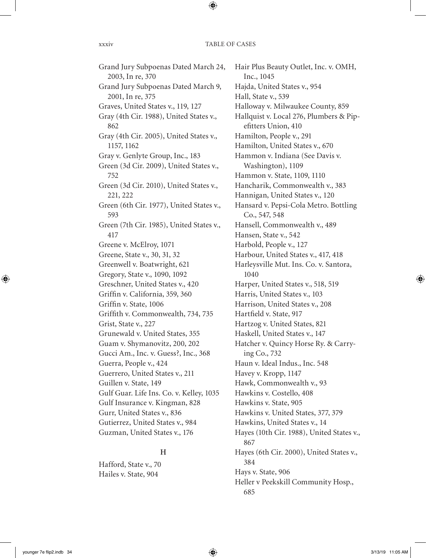Grand Jury Subpoenas Dated March 24, 2003, In re, 370 Grand Jury Subpoenas Dated March 9, 2001, In re, 375 Graves, United States v., 119, 127 Gray (4th Cir. 1988), United States v., 862 Gray (4th Cir. 2005), United States v., 1157, 1162 Gray v. Genlyte Group, Inc., 183 Green (3d Cir. 2009), United States v., 752 Green (3d Cir. 2010), United States v., 221, 222 Green (6th Cir. 1977), United States v., 593 Green (7th Cir. 1985), United States v., 417 Greene v. McElroy, 1071 Greene, State v., 30, 31, 32 Greenwell v. Boatwright, 621 Gregory, State v., 1090, 1092 Greschner, United States v., 420 Griffin v. California, 359, 360 Griffin v. State, 1006 Griffith v. Commonwealth, 734, 735 Grist, State v., 227 Grunewald v. United States, 355 Guam v. Shymanovitz, 200, 202 Gucci Am., Inc. v. Guess?, Inc., 368 Guerra, People v., 424 Guerrero, United States v., 211 Guillen v. State, 149 Gulf Guar. Life Ins. Co. v. Kelley, 1035 Gulf Insurance v. Kingman, 828 Gurr, United States v., 836 Gutierrez, United States v., 984 Guzman, United States v., 176

# **H**

Hafford, State v., 70 Hailes v. State, 904

Hair Plus Beauty Outlet, Inc. v. OMH, Inc., 1045 Hajda, United States v., 954 Hall, State v., 539 Halloway v. Milwaukee County, 859 Hallquist v. Local 276, Plumbers & Pipefitters Union, 410 Hamilton, People v., 291 Hamilton, United States v., 670 Hammon v. Indiana (See Davis v. Washington), 1109 Hammon v. State, 1109, 1110 Hancharik, Commonwealth v., 383 Hannigan, United States v., 120 Hansard v. Pepsi-Cola Metro. Bottling Co., 547, 548 Hansell, Commonwealth v., 489 Hansen, State v., 542 Harbold, People v., 127 Harbour, United States v., 417, 418 Harleysville Mut. Ins. Co. v. Santora, 1040 Harper, United States v., 518, 519 Harris, United States v., 103 Harrison, United States v., 208 Hartfield v. State, 917 Hartzog v. United States, 821 Haskell, United States v., 147 Hatcher v. Quincy Horse Ry. & Carrying Co., 732 Haun v. Ideal Indus., Inc. 548 Havey v. Kropp, 1147 Hawk, Commonwealth v., 93 Hawkins v. Costello, 408 Hawkins v. State, 905 Hawkins v. United States, 377, 379 Hawkins, United States v., 14 Hayes (10th Cir. 1988), United States v., 867 Hayes (6th Cir. 2000), United States v., 384 Hays v. State, 906 Heller v Peekskill Community Hosp., 685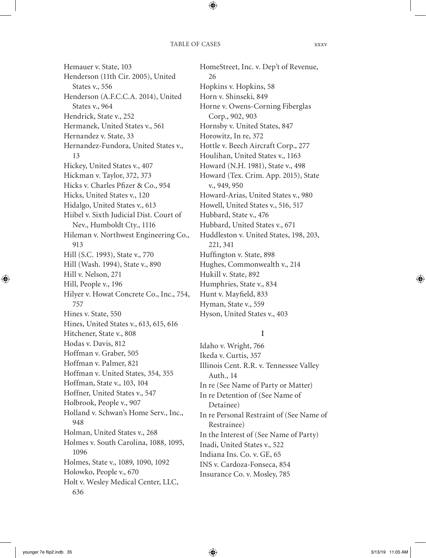Hemauer v. State, 103 Henderson (11th Cir. 2005), United States v., 556 Henderson (A.F.C.C.A. 2014), United States v., 964 Hendrick, State v., 252 Hermanek, United States v., 561 Hernandez v. State, 33 Hernandez-Fundora, United States v., 13 Hickey, United States v., 407 Hickman v. Taylor, 372, 373 Hicks v. Charles Pfizer & Co., 954 Hicks, United States v., 120 Hidalgo, United States v., 613 Hiibel v. Sixth Judicial Dist. Court of Nev., Humboldt Cty., 1116 Hileman v. Northwest Engineering Co., 913 Hill (S.C. 1993), State v., 770 Hill (Wash. 1994), State v., 890 Hill v. Nelson, 271 Hill, People v., 196 Hilyer v. Howat Concrete Co., Inc., 754, 757 Hines v. State, 550 Hines, United States v., 613, 615, 616 Hitchener, State v., 808 Hodas v. Davis, 812 Hoffman v. Graber, 505 Hoffman v. Palmer, 821 Hoffman v. United States, 354, 355 Hoffman, State v., 103, 104 Hoffner, United States v., 547 Holbrook, People v., 907 Holland v. Schwan's Home Serv., Inc., 948 Holman, United States v., 268 Holmes v. South Carolina, 1088, 1095, 1096 Holmes, State v., 1089, 1090, 1092 Holowko, People v., 670 Holt v. Wesley Medical Center, LLC, 636

HomeStreet, Inc. v. Dep't of Revenue, 26 Hopkins v. Hopkins, 58 Horn v. Shinseki, 849 Horne v. Owens-Corning Fiberglas Corp., 902, 903 Hornsby v. United States, 847 Horowitz, In re, 372 Hottle v. Beech Aircraft Corp., 277 Houlihan, United States v., 1163 Howard (N.H. 1981), State v., 498 Howard (Tex. Crim. App. 2015), State v., 949, 950 Howard-Arias, United States v., 980 Howell, United States v., 516, 517 Hubbard, State v., 476 Hubbard, United States v., 671 Huddleston v. United States, 198, 203, 221, 341 Huffington v. State, 898 Hughes, Commonwealth v., 214 Hukill v. State, 892 Humphries, State v., 834 Hunt v. Mayfield, 833 Hyman, State v., 559 Hyson, United States v., 403

# **I**

Idaho v. Wright, 766 Ikeda v. Curtis, 357 Illinois Cent. R.R. v. Tennessee Valley Auth., 14 In re (See Name of Party or Matter) In re Detention of (See Name of Detainee) In re Personal Restraint of (See Name of Restrainee) In the Interest of (See Name of Party) Inadi, United States v., 522 Indiana Ins. Co. v. GE, 65 INS v. Cardoza-Fonseca, 854 Insurance Co. v. Mosley, 785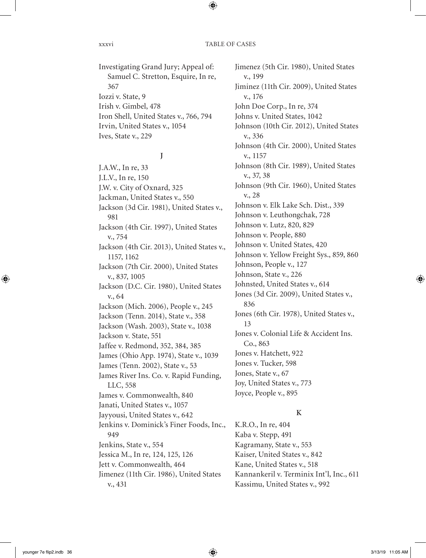Investigating Grand Jury; Appeal of: Samuel C. Stretton, Esquire, In re, 367 Iozzi v. State, 9 Irish v. Gimbel, 478 Iron Shell, United States v., 766, 794 Irvin, United States v., 1054 Ives, State v., 229

# **J**

J.A.W., In re, 33 J.L.V., In re, 150 J.W. v. City of Oxnard, 325 Jackman, United States v., 550 Jackson (3d Cir. 1981), United States v., 981 Jackson (4th Cir. 1997), United States v., 754 Jackson (4th Cir. 2013), United States v., 1157, 1162 Jackson (7th Cir. 2000), United States v., 837, 1005 Jackson (D.C. Cir. 1980), United States v., 64 Jackson (Mich. 2006), People v., 245 Jackson (Tenn. 2014), State v., 358 Jackson (Wash. 2003), State v., 1038 Jackson v. State, 551 Jaffee v. Redmond, 352, 384, 385 James (Ohio App. 1974), State v., 1039 James (Tenn. 2002), State v., 53 James River Ins. Co. v. Rapid Funding, LLC, 558 James v. Commonwealth, 840 Janati, United States v., 1057 Jayyousi, United States v., 642 Jenkins v. Dominick's Finer Foods, Inc., 949 Jenkins, State v., 554 Jessica M., In re, 124, 125, 126 Jett v. Commonwealth, 464 Jimenez (11th Cir. 1986), United States v., 431

Jimenez (5th Cir. 1980), United States v., 199 Jiminez (11th Cir. 2009), United States v., 176 John Doe Corp., In re, 374 Johns v. United States, 1042 Johnson (10th Cir. 2012), United States v., 336 Johnson (4th Cir. 2000), United States v., 1157 Johnson (8th Cir. 1989), United States v., 37, 38 Johnson (9th Cir. 1960), United States v., 28 Johnson v. Elk Lake Sch. Dist., 339 Johnson v. Leuthongchak, 728 Johnson v. Lutz, 820, 829 Johnson v. People, 880 Johnson v. United States, 420 Johnson v. Yellow Freight Sys., 859, 860 Johnson, People v., 127 Johnson, State v., 226 Johnsted, United States v., 614 Jones (3d Cir. 2009), United States v., 836 Jones (6th Cir. 1978), United States v., 13 Jones v. Colonial Life & Accident Ins. Co., 863 Jones v. Hatchett, 922 Jones v. Tucker, 598 Jones, State v., 67 Joy, United States v., 773 Joyce, People v., 895

# **K**

K.R.O., In re, 404 Kaba v. Stepp, 491 Kagramany, State v., 553 Kaiser, United States v., 842 Kane, United States v., 518 Kannankeril v. Terminix Int'l, Inc., 611 Kassimu, United States v., 992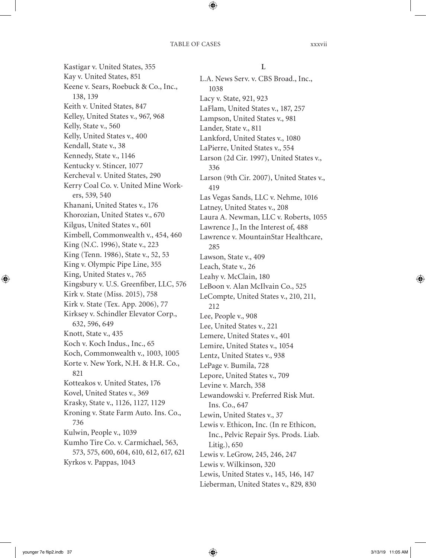Kastigar v. United States, 355 Kay v. United States, 851 Keene v. Sears, Roebuck & Co., Inc., 138, 139 Keith v. United States, 847 Kelley, United States v., 967, 968 Kelly, State v., 560 Kelly, United States v., 400 Kendall, State v., 38 Kennedy, State v., 1146 Kentucky v. Stincer, 1077 Kercheval v. United States, 290 Kerry Coal Co. v. United Mine Workers, 539, 540 Khanani, United States v., 176 Khorozian, United States v., 670 Kilgus, United States v., 601 Kimbell, Commonwealth v., 454, 460 King (N.C. 1996), State v., 223 King (Tenn. 1986), State v., 52, 53 King v. Olympic Pipe Line, 355 King, United States v., 765 Kingsbury v. U.S. Greenfiber, LLC, 576 Kirk v. State (Miss. 2015), 758 Kirk v. State (Tex. App. 2006), 77 Kirksey v. Schindler Elevator Corp., 632, 596, 649 Knott, State v., 435 Koch v. Koch Indus., Inc., 65 Koch, Commonwealth v., 1003, 1005 Korte v. New York, N.H. & H.R. Co., 821 Kotteakos v. United States, 176 Kovel, United States v., 369 Krasky, State v., 1126, 1127, 1129 Kroning v. State Farm Auto. Ins. Co., 736 Kulwin, People v., 1039 Kumho Tire Co. v. Carmichael, 563, 573, 575, 600, 604, 610, 612, 617, 621 Kyrkos v. Pappas, 1043

## **L**

L.A. News Serv. v. CBS Broad., Inc., 1038 Lacy v. State, 921, 923 LaFlam, United States v., 187, 257 Lampson, United States v., 981 Lander, State v., 811 Lankford, United States v., 1080 LaPierre, United States v., 554 Larson (2d Cir. 1997), United States v., 336 Larson (9th Cir. 2007), United States v., 419 Las Vegas Sands, LLC v. Nehme, 1016 Latney, United States v., 208 Laura A. Newman, LLC v. Roberts, 1055 Lawrence J., In the Interest of, 488 Lawrence v. MountainStar Healthcare, 285 Lawson, State v., 409 Leach, State v., 26 Leahy v. McClain, 180 LeBoon v. Alan McIlvain Co., 525 LeCompte, United States v., 210, 211, 212 Lee, People v., 908 Lee, United States v., 221 Lemere, United States v., 401 Lemire, United States v., 1054 Lentz, United States v., 938 LePage v. Bumila, 728 Lepore, United States v., 709 Levine v. March, 358 Lewandowski v. Preferred Risk Mut. Ins. Co., 647 Lewin, United States v., 37 Lewis v. Ethicon, Inc. (In re Ethicon, Inc., Pelvic Repair Sys. Prods. Liab. Litig.), 650 Lewis v. LeGrow, 245, 246, 247 Lewis v. Wilkinson, 320 Lewis, United States v., 145, 146, 147 Lieberman, United States v., 829, 830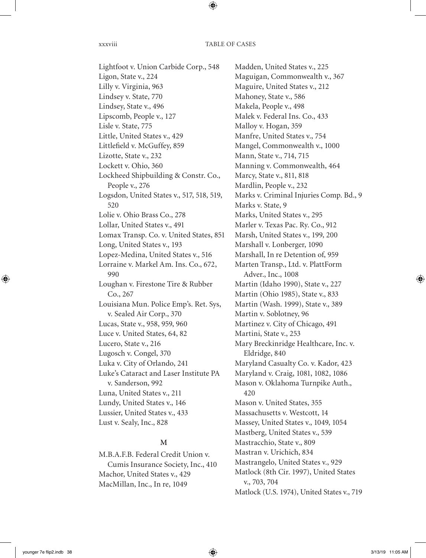## xxxviii TABLE OF CASES

Lightfoot v. Union Carbide Corp., 548 Ligon, State v., 224 Lilly v. Virginia, 963 Lindsey v. State, 770 Lindsey, State v., 496 Lipscomb, People v., 127 Lisle v. State, 775 Little, United States v., 429 Littlefield v. McGuffey, 859 Lizotte, State v., 232 Lockett v. Ohio, 360 Lockheed Shipbuilding & Constr. Co., People v., 276 Logsdon, United States v., 517, 518, 519, 520 Lolie v. Ohio Brass Co., 278 Lollar, United States v., 491 Lomax Transp. Co. v. United States, 851 Long, United States v., 193 Lopez-Medina, United States v., 516 Lorraine v. Markel Am. Ins. Co., 672, 990 Loughan v. Firestone Tire & Rubber Co., 267 Louisiana Mun. Police Emp's. Ret. Sys, v. Sealed Air Corp., 370 Lucas, State v., 958, 959, 960 Luce v. United States, 64, 82 Lucero, State v., 216 Lugosch v. Congel, 370 Luka v. City of Orlando, 241 Luke's Cataract and Laser Institute PA v. Sanderson, 992 Luna, United States v., 211 Lundy, United States v., 146 Lussier, United States v., 433 Lust v. Sealy, Inc., 828

# **M**

M.B.A.F.B. Federal Credit Union v. Cumis Insurance Society, Inc., 410 Machor, United States v., 429 MacMillan, Inc., In re, 1049

Madden, United States v., 225 Maguigan, Commonwealth v., 367 Maguire, United States v., 212 Mahoney, State v., 586 Makela, People v., 498 Malek v. Federal Ins. Co., 433 Malloy v. Hogan, 359 Manfre, United States v., 754 Mangel, Commonwealth v., 1000 Mann, State v., 714, 715 Manning v. Commonwealth, 464 Marcy, State v., 811, 818 Mardlin, People v., 232 Marks v. Criminal Injuries Comp. Bd., 9 Marks v. State, 9 Marks, United States v., 295 Marler v. Texas Pac. Ry. Co., 912 Marsh, United States v., 199, 200 Marshall v. Lonberger, 1090 Marshall, In re Detention of, 959 Marten Transp., Ltd. v. PlattForm Adver., Inc., 1008 Martin (Idaho 1990), State v., 227 Martin (Ohio 1985), State v., 833 Martin (Wash. 1999), State v., 389 Martin v. Soblotney, 96 Martinez v. City of Chicago, 491 Martini, State v., 253 Mary Breckinridge Healthcare, Inc. v. Eldridge, 840 Maryland Casualty Co. v. Kador, 423 Maryland v. Craig, 1081, 1082, 1086 Mason v. Oklahoma Turnpike Auth., 420 Mason v. United States, 355 Massachusetts v. Westcott, 14 Massey, United States v., 1049, 1054 Mastberg, United States v., 539 Mastracchio, State v., 809 Mastran v. Urichich, 834 Mastrangelo, United States v., 929 Matlock (8th Cir. 1997), United States v., 703, 704 Matlock (U.S. 1974), United States v., 719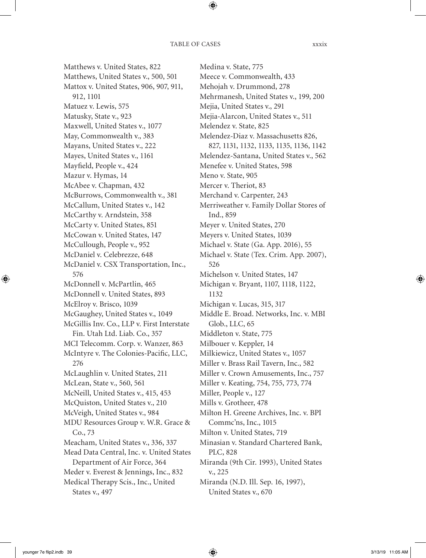Matthews v. United States, 822 Matthews, United States v., 500, 501 Mattox v. United States, 906, 907, 911, 912, 1101 Matuez v. Lewis, 575 Matusky, State v., 923 Maxwell, United States v., 1077 May, Commonwealth v., 383 Mayans, United States v., 222 Mayes, United States v., 1161 Mayfield, People v., 424 Mazur v. Hymas, 14 McAbee v. Chapman, 432 McBurrows, Commonwealth v., 381 McCallum, United States v., 142 McCarthy v. Arndstein, 358 McCarty v. United States, 851 McCowan v. United States, 147 McCullough, People v., 952 McDaniel v. Celebrezze, 648 McDaniel v. CSX Transportation, Inc., 576 McDonnell v. McPartlin, 465 McDonnell v. United States, 893 McElroy v. Brisco, 1039 McGaughey, United States v., 1049 McGillis Inv. Co., LLP v. First Interstate Fin. Utah Ltd. Liab. Co., 357 MCI Telecomm. Corp. v. Wanzer, 863 McIntyre v. The Colonies-Pacific, LLC, 276 McLaughlin v. United States, 211 McLean, State v., 560, 561 McNeill, United States v., 415, 453 McQuiston, United States v., 210 McVeigh, United States v., 984 MDU Resources Group v. W.R. Grace & Co., 73 Meacham, United States v., 336, 337 Mead Data Central, Inc. v. United States Department of Air Force, 364 Meder v. Everest & Jennings, Inc., 832 Medical Therapy Scis., Inc., United States v., 497

Medina v. State, 775 Meece v. Commonwealth, 433 Mehojah v. Drummond, 278 Mehrmanesh, United States v., 199, 200 Mejia, United States v., 291 Mejia-Alarcon, United States v., 511 Melendez v. State, 825 Melendez-Diaz v. Massachusetts 826, 827, 1131, 1132, 1133, 1135, 1136, 1142 Melendez-Santana, United States v., 562 Menefee v. United States, 598 Meno v. State, 905 Mercer v. Theriot, 83 Merchand v. Carpenter, 243 Merriweather v. Family Dollar Stores of Ind., 859 Meyer v. United States, 270 Meyers v. United States, 1039 Michael v. State (Ga. App. 2016), 55 Michael v. State (Tex. Crim. App. 2007), 526 Michelson v. United States, 147 Michigan v. Bryant, 1107, 1118, 1122, 1132 Michigan v. Lucas, 315, 317 Middle E. Broad. Networks, Inc. v. MBI Glob., LLC, 65 Middleton v. State, 775 Milbouer v. Keppler, 14 Milkiewicz, United States v., 1057 Miller v. Brass Rail Tavern, Inc., 582 Miller v. Crown Amusements, Inc., 757 Miller v. Keating, 754, 755, 773, 774 Miller, People v., 127 Mills v. Grotheer, 478 Milton H. Greene Archives, Inc. v. BPI Commc'ns, Inc., 1015 Milton v. United States, 719 Minasian v. Standard Chartered Bank, PLC, 828 Miranda (9th Cir. 1993), United States v., 225 Miranda (N.D. Ill. Sep. 16, 1997), United States v., 670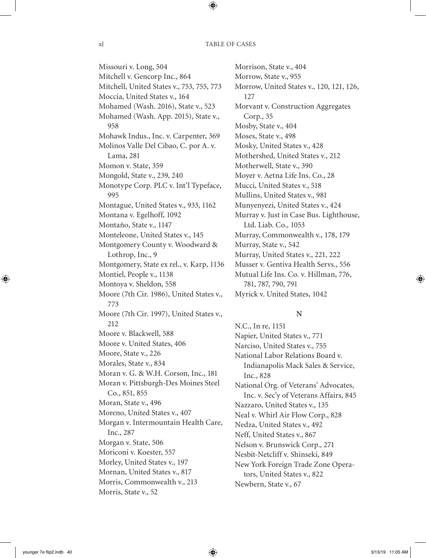Missouri v. Long, 504 Mitchell v. Gencorp Inc., 864 Mitchell, United States v., 753, 755, 773 Moccia, United States v., 164 Mohamed (Wash. 2016), State v., 523 Mohamed (Wash. App. 2015), State v., 958 Mohawk Indus., Inc. v. Carpenter, 369 Molinos Valle Del Cibao, C. por A. v. Lama, 281 Momon v. State, 359 Mongold, State v., 239, 240 Monotype Corp. PLC v. Int'l Typeface, 995 Montague, United States v., 933, 1162 Montana v. Egelhoff, 1092 Montaño, State v., 1147 Monteleone, United States v., 145 Montgomery County v. Woodward & Lothrop, Inc., 9 Montgomery, State ex rel., v. Karp, 1136 Montiel, People v., 1138 Montoya v. Sheldon, 558 Moore (7th Cir. 1986), United States v., 773 Moore (7th Cir. 1997), United States v., 212 Moore v. Blackwell, 588 Moore v. United States, 406 Moore, State v., 226 Morales, State v., 834 Moran v. G. & W.H. Corson, Inc., 181 Moran v. Pittsburgh-Des Moines Steel Co., 851, 855 Moran, State v., 496 Moreno, United States v., 407 Morgan v. Intermountain Health Care, Inc., 287 Morgan v. State, 506 Moriconi v. Koester, 557 Morley, United States v., 197 Mornan, United States v., 817 Morris, Commonwealth v., 213 Morris, State v., 52

Morrison, State v., 404 Morrow, State v., 955 Morrow, United States v., 120, 121, 126, 127 Morvant v. Construction Aggregates Corp., 35 Mosby, State v., 404 Moses, State v., 498 Mosky, United States v., 428 Mothershed, United States v., 212 Motherwell, State v., 390 Moyer v. Aetna Life Ins. Co., 28 Mucci, United States v., 518 Mullins, United States v., 981 Munyenyezi, United States v., 424 Murray v. Just in Case Bus. Lighthouse, Ltd. Liab. Co., 1053 Murray, Commonwealth v., 178, 179 Murray, State v., 542 Murray, United States v., 221, 222 Musser v. Gentiva Health Servs., 556 Mutual Life Ins. Co. v. Hillman, 776, 781, 787, 790, 791 Myrick v. United States, 1042

# **N**

N.C., In re, 1151 Napier, United States v., 771 Narciso, United States v., 755 National Labor Relations Board v. Indianapolis Mack Sales & Service, Inc., 828 National Org. of Veterans' Advocates, Inc. v. Sec'y of Veterans Affairs, 845 Nazzaro, United States v., 135 Neal v. Whirl Air Flow Corp., 828 Nedza, United States v., 492 Neff, United States v., 867 Nelson v. Brunswick Corp., 271 Nesbit-Netcliff v. Shinseki, 849 New York Foreign Trade Zone Operators, United States v., 822 Newbern, State v., 67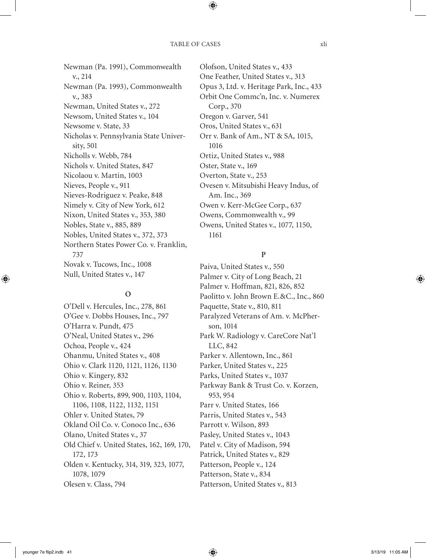Newman (Pa. 1991), Commonwealth v., 214 Newman (Pa. 1993), Commonwealth v., 383 Newman, United States v., 272 Newsom, United States v., 104 Newsome v. State, 33 Nicholas v. Pennsylvania State University, 501 Nicholls v. Webb, 784 Nichols v. United States, 847 Nicolaou v. Martin, 1003 Nieves, People v., 911 Nieves-Rodriguez v. Peake, 848 Nimely v. City of New York, 612 Nixon, United States v., 353, 380 Nobles, State v., 885, 889 Nobles, United States v., 372, 373 Northern States Power Co. v. Franklin, 737 Novak v. Tucows, Inc., 1008 Null, United States v., 147

# **O**

O'Dell v. Hercules, Inc., 278, 861 O'Gee v. Dobbs Houses, Inc., 797 O'Harra v. Pundt, 475 O'Neal, United States v., 296 Ochoa, People v., 424 Ohanmu, United States v., 408 Ohio v. Clark 1120, 1121, 1126, 1130 Ohio v. Kingery, 832 Ohio v. Reiner, 353 Ohio v. Roberts, 899, 900, 1103, 1104, 1106, 1108, 1122, 1132, 1151 Ohler v. United States, 79 Okland Oil Co. v. Conoco Inc., 636 Olano, United States v., 37 Old Chief v. United States, 162, 169, 170, 172, 173 Olden v. Kentucky, 314, 319, 323, 1077, 1078, 1079 Olesen v. Class, 794

Olofson, United States v., 433 One Feather, United States v., 313 Opus 3, Ltd. v. Heritage Park, Inc., 433 Orbit One Commc'n, Inc. v. Numerex Corp., 370 Oregon v. Garver, 541 Oros, United States v., 631 Orr v. Bank of Am., NT & SA, 1015, 1016 Ortiz, United States v., 988 Oster, State v., 169 Overton, State v., 253 Ovesen v. Mitsubishi Heavy Indus, of Am. Inc., 369 Owen v. Kerr-McGee Corp., 637 Owens, Commonwealth v., 99 Owens, United States v., 1077, 1150, 1161

# **P**

Paiva, United States v., 550 Palmer v. City of Long Beach, 21 Palmer v. Hoffman, 821, 826, 852 Paolitto v. John Brown E.&C., Inc., 860 Paquette, State v., 810, 811 Paralyzed Veterans of Am. v. McPherson, 1014 Park W. Radiology v. CareCore Nat'l LLC, 842 Parker v. Allentown, Inc., 861 Parker, United States v., 225 Parks, United States v., 1037 Parkway Bank & Trust Co. v. Korzen, 953, 954 Parr v. United States, 166 Parris, United States v., 543 Parrott v. Wilson, 893 Pasley, United States v., 1043 Patel v. City of Madison, 594 Patrick, United States v., 829 Patterson, People v., 124 Patterson, State v., 834 Patterson, United States v., 813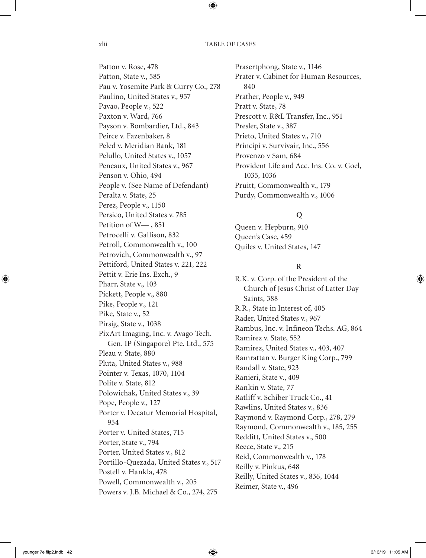xlii TABLE OF CASES

Patton v. Rose, 478 Patton, State v., 585 Pau v. Yosemite Park & Curry Co., 278 Paulino, United States v., 957 Pavao, People v., 522 Paxton v. Ward, 766 Payson v. Bombardier, Ltd., 843 Peirce v. Fazenbaker, 8 Peled v. Meridian Bank, 181 Pelullo, United States v., 1057 Peneaux, United States v., 967 Penson v. Ohio, 494 People v. (See Name of Defendant) Peralta v. State, 25 Perez, People v., 1150 Persico, United States v. 785 Petition of W— , 851 Petrocelli v. Gallison, 832 Petroll, Commonwealth v., 100 Petrovich, Commonwealth v., 97 Pettiford, United States v. 221, 222 Pettit v. Erie Ins. Exch., 9 Pharr, State v., 103 Pickett, People v., 880 Pike, People v., 121 Pike, State v., 52 Pirsig, State v., 1038 PixArt Imaging, Inc. v. Avago Tech. Gen. IP (Singapore) Pte. Ltd., 575 Pleau v. State, 880 Pluta, United States v., 988 Pointer v. Texas, 1070, 1104 Polite v. State, 812 Polowichak, United States v., 39 Pope, People v., 127 Porter v. Decatur Memorial Hospital, 954 Porter v. United States, 715 Porter, State v., 794 Porter, United States v., 812 Portillo-Quezada, United States v., 517 Postell v. Hankla, 478 Powell, Commonwealth v., 205 Powers v. J.B. Michael & Co., 274, 275

Prasertphong, State v., 1146 Prater v. Cabinet for Human Resources, 840 Prather, People v., 949 Pratt v. State, 78 Prescott v. R&L Transfer, Inc., 951 Presler, State v., 387 Prieto, United States v., 710 Principi v. Survivair, Inc., 556 Provenzo v Sam, 684 Provident Life and Acc. Ins. Co. v. Goel, 1035, 1036 Pruitt, Commonwealth v., 179 Purdy, Commonwealth v., 1006

# **Q**

Queen v. Hepburn, 910 Queen's Case, 459 Quiles v. United States, 147

# **R**

R.K. v. Corp. of the President of the Church of Jesus Christ of Latter Day Saints, 388 R.R., State in Interest of, 405 Rader, United States v., 967 Rambus, Inc. v. Infineon Techs. AG, 864 Ramirez v. State, 552 Ramirez, United States v., 403, 407 Ramrattan v. Burger King Corp., 799 Randall v. State, 923 Ranieri, State v., 409 Rankin v. State, 77 Ratliff v. Schiber Truck Co., 41 Rawlins, United States v., 836 Raymond v. Raymond Corp., 278, 279 Raymond, Commonwealth v., 185, 255 Redditt, United States v., 500 Reece, State v., 215 Reid, Commonwealth v., 178 Reilly v. Pinkus, 648 Reilly, United States v., 836, 1044 Reimer, State v., 496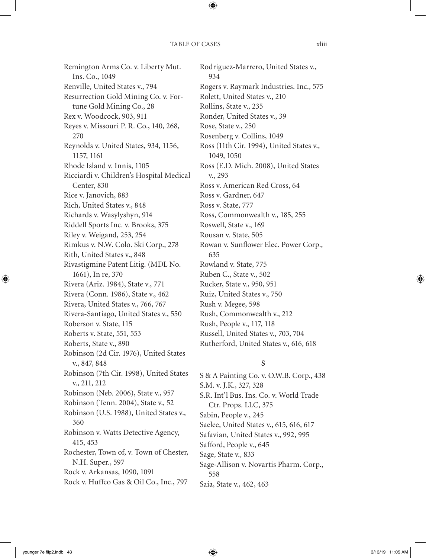Remington Arms Co. v. Liberty Mut. Ins. Co., 1049 Renville, United States v., 794 Resurrection Gold Mining Co. v. Fortune Gold Mining Co., 28 Rex v. Woodcock, 903, 911 Reyes v. Missouri P. R. Co., 140, 268, 270 Reynolds v. United States, 934, 1156, 1157, 1161 Rhode Island v. Innis, 1105 Ricciardi v. Children's Hospital Medical Center, 830 Rice v. Janovich, 883 Rich, United States v., 848 Richards v. Wasylyshyn, 914 Riddell Sports Inc. v. Brooks, 375 Riley v. Weigand, 253, 254 Rimkus v. N.W. Colo. Ski Corp., 278 Rith, United States v., 848 Rivastigmine Patent Litig. (MDL No. 1661), In re, 370 Rivera (Ariz. 1984), State v., 771 Rivera (Conn. 1986), State v., 462 Rivera, United States v., 766, 767 Rivera-Santiago, United States v., 550 Roberson v. State, 115 Roberts v. State, 551, 553 Roberts, State v., 890 Robinson (2d Cir. 1976), United States v., 847, 848 Robinson (7th Cir. 1998), United States v., 211, 212 Robinson (Neb. 2006), State v., 957 Robinson (Tenn. 2004), State v., 52 Robinson (U.S. 1988), United States v., 360 Robinson v. Watts Detective Agency, 415, 453 Rochester, Town of, v. Town of Chester, N.H. Super., 597 Rock v. Arkansas, 1090, 1091 Rock v. Huffco Gas & Oil Co., Inc., 797

Rodriguez-Marrero, United States v., 934 Rogers v. Raymark Industries. Inc., 575 Rolett, United States v., 210 Rollins, State v., 235 Ronder, United States v., 39 Rose, State v., 250 Rosenberg v. Collins, 1049 Ross (11th Cir. 1994), United States v., 1049, 1050 Ross (E.D. Mich. 2008), United States v., 293 Ross v. American Red Cross, 64 Ross v. Gardner, 647 Ross v. State, 777 Ross, Commonwealth v., 185, 255 Roswell, State v., 169 Rousan v. State, 505 Rowan v. Sunflower Elec. Power Corp., 635 Rowland v. State, 775 Ruben C., State v., 502 Rucker, State v., 950, 951 Ruiz, United States v., 750 Rush v. Megee, 598 Rush, Commonwealth v., 212 Rush, People v., 117, 118 Russell, United States v., 703, 704 Rutherford, United States v., 616, 618

# **S**

S & A Painting Co. v. O.W.B. Corp., 438 S.M. v. J.K., 327, 328 S.R. Int'l Bus. Ins. Co. v. World Trade Ctr. Props. LLC, 375 Sabin, People v., 245 Saelee, United States v., 615, 616, 617 Safavian, United States v., 992, 995 Safford, People v., 645 Sage, State v., 833 Sage-Allison v. Novartis Pharm. Corp., 558 Saia, State v., 462, 463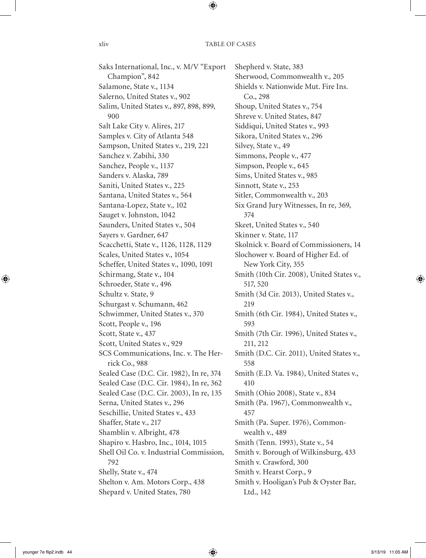Saks International, Inc., v. M/V "Export Champion", 842 Salamone, State v., 1134 Salerno, United States v., 902 Salim, United States v., 897, 898, 899, 900 Salt Lake City v. Alires, 217 Samples v. City of Atlanta 548 Sampson, United States v., 219, 221 Sanchez v. Zabihi, 330 Sanchez, People v., 1137 Sanders v. Alaska, 789 Saniti, United States v., 225 Santana, United States v., 564 Santana-Lopez, State v., 102 Sauget v. Johnston, 1042 Saunders, United States v., 504 Sayers v. Gardner, 647 Scacchetti, State v., 1126, 1128, 1129 Scales, United States v., 1054 Scheffer, United States v., 1090, 1091 Schirmang, State v., 104 Schroeder, State v., 496 Schultz v. State, 9 Schurgast v. Schumann, 462 Schwimmer, United States v., 370 Scott, People v., 196 Scott, State v., 437 Scott, United States v., 929 SCS Communications, Inc. v. The Herrick Co., 988 Sealed Case (D.C. Cir. 1982), In re, 374 Sealed Case (D.C. Cir. 1984), In re, 362 Sealed Case (D.C. Cir. 2003), In re, 135 Serna, United States v., 296 Seschillie, United States v., 433 Shaffer, State v., 217 Shamblin v. Albright, 478 Shapiro v. Hasbro, Inc., 1014, 1015 Shell Oil Co. v. Industrial Commission, 792 Shelly, State v., 474 Shelton v. Am. Motors Corp., 438 Shepard v. United States, 780

Shepherd v. State, 383 Sherwood, Commonwealth v., 205 Shields v. Nationwide Mut. Fire Ins. Co., 298 Shoup, United States v., 754 Shreve v. United States, 847 Siddiqui, United States v., 993 Sikora, United States v., 296 Silvey, State v., 49 Simmons, People v., 477 Simpson, People v., 645 Sims, United States v., 985 Sinnott, State v., 253 Sitler, Commonwealth v., 203 Six Grand Jury Witnesses, In re, 369, 374 Skeet, United States v., 540 Skinner v. State, 117 Skolnick v. Board of Commissioners, 14 Slochower v. Board of Higher Ed. of New York City, 355 Smith (10th Cir. 2008), United States v., 517, 520 Smith (3d Cir. 2013), United States v., 219 Smith (6th Cir. 1984), United States v., 593 Smith (7th Cir. 1996), United States v., 211, 212 Smith (D.C. Cir. 2011), United States v., 558 Smith (E.D. Va. 1984), United States v., 410 Smith (Ohio 2008), State v., 834 Smith (Pa. 1967), Commonwealth v., 457 Smith (Pa. Super. 1976), Commonwealth v., 489 Smith (Tenn. 1993), State v., 54 Smith v. Borough of Wilkinsburg, 433 Smith v. Crawford, 300 Smith v. Hearst Corp., 9 Smith v. Hooligan's Pub & Oyster Bar, Ltd., 142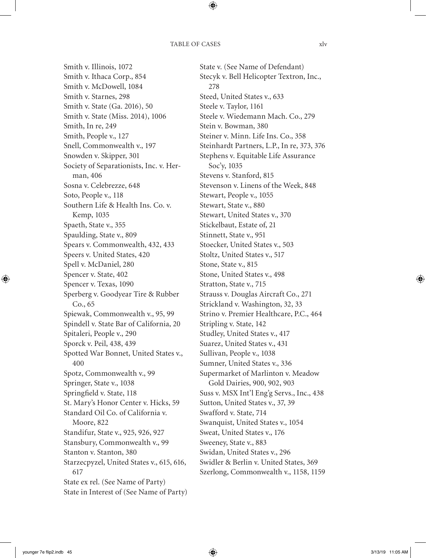Smith v. Illinois, 1072 Smith v. Ithaca Corp., 854 Smith v. McDowell, 1084 Smith v. Starnes, 298 Smith v. State (Ga. 2016), 50 Smith v. State (Miss. 2014), 1006 Smith, In re, 249 Smith, People v., 127 Snell, Commonwealth v., 197 Snowden v. Skipper, 301 Society of Separationists, Inc. v. Herman, 406 Sosna v. Celebrezze, 648 Soto, People v., 118 Southern Life & Health Ins. Co. v. Kemp, 1035 Spaeth, State v., 355 Spaulding, State v., 809 Spears v. Commonwealth, 432, 433 Speers v. United States, 420 Spell v. McDaniel, 280 Spencer v. State, 402 Spencer v. Texas, 1090 Sperberg v. Goodyear Tire & Rubber Co., 65 Spiewak, Commonwealth v., 95, 99 Spindell v. State Bar of California, 20 Spitaleri, People v., 290 Sporck v. Peil, 438, 439 Spotted War Bonnet, United States v., 400 Spotz, Commonwealth v., 99 Springer, State v., 1038 Springfield v. State, 118 St. Mary's Honor Center v. Hicks, 59 Standard Oil Co. of California v. Moore, 822 Standifur, State v., 925, 926, 927 Stansbury, Commonwealth v., 99 Stanton v. Stanton, 380 Starzecpyzel, United States v., 615, 616, 617 State ex rel. (See Name of Party) State in Interest of (See Name of Party) State v. (See Name of Defendant) Stecyk v. Bell Helicopter Textron, Inc., 278 Steed, United States v., 633 Steele v. Taylor, 1161 Steele v. Wiedemann Mach. Co., 279 Stein v. Bowman, 380 Steiner v. Minn. Life Ins. Co., 358 Steinhardt Partners, L.P., In re, 373, 376 Stephens v. Equitable Life Assurance Soc'y, 1035 Stevens v. Stanford, 815 Stevenson v. Linens of the Week, 848 Stewart, People v., 1055 Stewart, State v., 880 Stewart, United States v., 370 Stickelbaut, Estate of, 21 Stinnett, State v., 951 Stoecker, United States v., 503 Stoltz, United States v., 517 Stone, State v., 815 Stone, United States v., 498 Stratton, State v., 715 Strauss v. Douglas Aircraft Co., 271 Strickland v. Washington, 32, 33 Strino v. Premier Healthcare, P.C., 464 Stripling v. State, 142 Studley, United States v., 417 Suarez, United States v., 431 Sullivan, People v., 1038 Sumner, United States v., 336 Supermarket of Marlinton v. Meadow Gold Dairies, 900, 902, 903 Suss v. MSX Int'l Eng'g Servs., Inc., 438 Sutton, United States v., 37, 39 Swafford v. State, 714 Swanquist, United States v., 1054 Sweat, United States v., 176 Sweeney, State v., 883 Swidan, United States v., 296 Swidler & Berlin v. United States, 369 Szerlong, Commonwealth v., 1158, 1159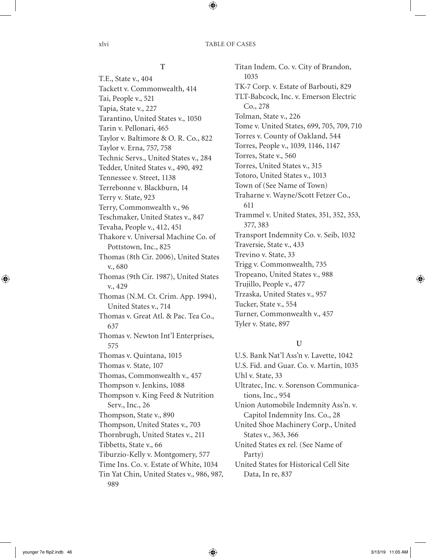# **T**

T.E., State v., 404 Tackett v. Commonwealth, 414 Tai, People v., 521 Tapia, State v., 227 Tarantino, United States v., 1050 Tarin v. Pellonari, 465 Taylor v. Baltimore & O. R. Co., 822 Taylor v. Erna, 757, 758 Technic Servs., United States v., 284 Tedder, United States v., 490, 492 Tennessee v. Street, 1138 Terrebonne v. Blackburn, 14 Terry v. State, 923 Terry, Commonwealth v., 96 Teschmaker, United States v., 847 Tevaha, People v., 412, 451 Thakore v. Universal Machine Co. of Pottstown, Inc., 825 Thomas (8th Cir. 2006), United States v., 680 Thomas (9th Cir. 1987), United States v., 429 Thomas (N.M. Ct. Crim. App. 1994), United States v., 714 Thomas v. Great Atl. & Pac. Tea Co., 637 Thomas v. Newton Int'l Enterprises, 575 Thomas v. Quintana, 1015 Thomas v. State, 107 Thomas, Commonwealth v., 457 Thompson v. Jenkins, 1088 Thompson v. King Feed & Nutrition Serv., Inc., 26 Thompson, State v., 890 Thompson, United States v., 703 Thornbrugh, United States v., 211 Tibbetts, State v., 66 Tiburzio-Kelly v. Montgomery, 577 Time Ins. Co. v. Estate of White, 1034 Tin Yat Chin, United States v., 986, 987, 989

Titan Indem. Co. v. City of Brandon, 1035 TK-7 Corp. v. Estate of Barbouti, 829 TLT-Babcock, Inc. v. Emerson Electric Co., 278 Tolman, State v., 226 Tome v. United States, 699, 705, 709, 710 Torres v. County of Oakland, 544 Torres, People v., 1039, 1146, 1147 Torres, State v., 560 Torres, United States v., 315 Totoro, United States v., 1013 Town of (See Name of Town) Traharne v. Wayne/Scott Fetzer Co., 611 Trammel v. United States, 351, 352, 353, 377, 383 Transport Indemnity Co. v. Seib, 1032 Traversie, State v., 433 Trevino v. State, 33 Trigg v. Commonwealth, 735 Tropeano, United States v., 988 Trujillo, People v., 477 Trzaska, United States v., 957 Tucker, State v., 554 Turner, Commonwealth v., 457 Tyler v. State, 897

# **U**

U.S. Bank Nat'l Ass'n v. Lavette, 1042 U.S. Fid. and Guar. Co. v. Martin, 1035 Uhl v. State, 33 Ultratec, Inc. v. Sorenson Communications, Inc., 954 Union Automobile Indemnity Ass'n. v. Capitol Indemnity Ins. Co., 28 United Shoe Machinery Corp., United States v., 363, 366 United States ex rel. (See Name of Party) United States for Historical Cell Site Data, In re, 837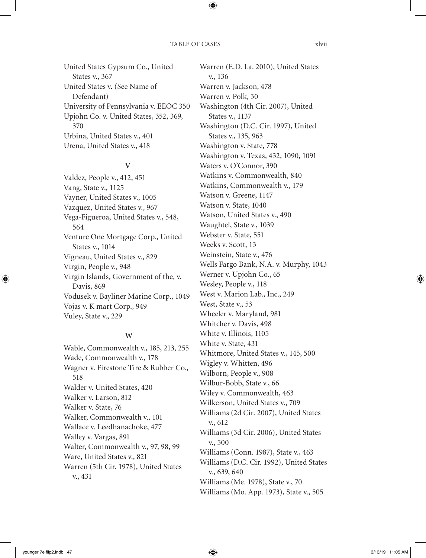United States Gypsum Co., United States v., 367 United States v. (See Name of Defendant) University of Pennsylvania v. EEOC 350 Upjohn Co. v. United States, 352, 369, 370 Urbina, United States v., 401 Urena, United States v., 418

## **V**

Valdez, People v., 412, 451 Vang, State v., 1125 Vayner, United States v., 1005 Vazquez, United States v., 967 Vega-Figueroa, United States v., 548, 564 Venture One Mortgage Corp., United States v., 1014 Vigneau, United States v., 829 Virgin, People v., 948 Virgin Islands, Government of the, v. Davis, 869 Vodusek v. Bayliner Marine Corp., 1049 Vojas v. K mart Corp., 949 Vuley, State v., 229

## **W**

Wable, Commonwealth v., 185, 213, 255 Wade, Commonwealth v., 178 Wagner v. Firestone Tire & Rubber Co., 518 Walder v. United States, 420 Walker v. Larson, 812 Walker v. State, 76 Walker, Commonwealth v., 101 Wallace v. Leedhanachoke, 477 Walley v. Vargas, 891 Walter, Commonwealth v., 97, 98, 99 Ware, United States v., 821 Warren (5th Cir. 1978), United States v., 431

Warren (E.D. La. 2010), United States v., 136 Warren v. Jackson, 478 Warren v. Polk, 30 Washington (4th Cir. 2007), United States v., 1137 Washington (D.C. Cir. 1997), United States v., 135, 963 Washington v. State, 778 Washington v. Texas, 432, 1090, 1091 Waters v. O'Connor, 390 Watkins v. Commonwealth, 840 Watkins, Commonwealth v., 179 Watson v. Greene, 1147 Watson v. State, 1040 Watson, United States v., 490 Waughtel, State v., 1039 Webster v. State, 551 Weeks v. Scott, 13 Weinstein, State v., 476 Wells Fargo Bank, N.A. v. Murphy, 1043 Werner v. Upjohn Co., 65 Wesley, People v., 118 West v. Marion Lab., Inc., 249 West, State v., 53 Wheeler v. Maryland, 981 Whitcher v. Davis, 498 White v. Illinois, 1105 White v. State, 431 Whitmore, United States v., 145, 500 Wigley v. Whitten, 496 Wilborn, People v., 908 Wilbur-Bobb, State v., 66 Wiley v. Commonwealth, 463 Wilkerson, United States v., 709 Williams (2d Cir. 2007), United States v., 612 Williams (3d Cir. 2006), United States v., 500 Williams (Conn. 1987), State v., 463 Williams (D.C. Cir. 1992), United States v., 639, 640 Williams (Me. 1978), State v., 70 Williams (Mo. App. 1973), State v., 505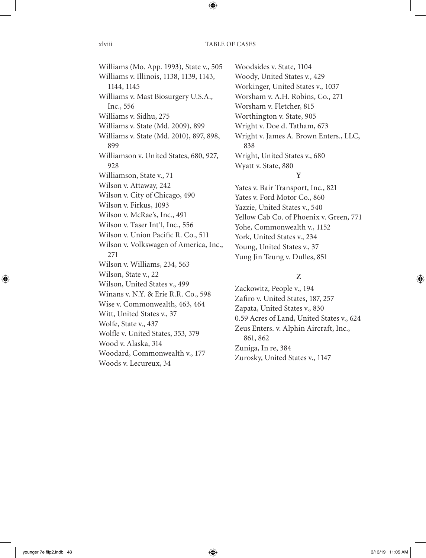Williams (Mo. App. 1993), State v., 505 Williams v. Illinois, 1138, 1139, 1143, 1144, 1145 Williams v. Mast Biosurgery U.S.A., Inc., 556 Williams v. Sidhu, 275 Williams v. State (Md. 2009), 899 Williams v. State (Md. 2010), 897, 898, 899 Williamson v. United States, 680, 927, 928 Williamson, State v., 71 Wilson v. Attaway, 242 Wilson v. City of Chicago, 490 Wilson v. Firkus, 1093 Wilson v. McRae's, Inc., 491 Wilson v. Taser Int'l, Inc., 556 Wilson v. Union Pacific R. Co., 511 Wilson v. Volkswagen of America, Inc., 271 Wilson v. Williams, 234, 563 Wilson, State v., 22 Wilson, United States v., 499 Winans v. N.Y. & Erie R.R. Co., 598 Wise v. Commonwealth, 463, 464 Witt, United States v., 37 Wolfe, State v., 437 Wolfle v. United States, 353, 379 Wood v. Alaska, 314 Woodard, Commonwealth v., 177 Woods v. Lecureux, 34

Woodsides v. State, 1104 Woody, United States v., 429 Workinger, United States v., 1037 Worsham v. A.H. Robins, Co., 271 Worsham v. Fletcher, 815 Worthington v. State, 905 Wright v. Doe d. Tatham, 673 Wright v. James A. Brown Enters., LLC, 838 Wright, United States v., 680 Wyatt v. State, 880 **Y**

Yates v. Bair Transport, Inc., 821 Yates v. Ford Motor Co., 860 Yazzie, United States v., 540 Yellow Cab Co. of Phoenix v. Green, 771 Yohe, Commonwealth v., 1152 York, United States v., 234 Young, United States v., 37 Yung Jin Teung v. Dulles, 851

# **Z**

Zackowitz, People v., 194 Zafiro v. United States, 187, 257 Zapata, United States v., 830 0.59 Acres of Land, United States v., 624 Zeus Enters. v. Alphin Aircraft, Inc., 861, 862 Zuniga, In re, 384 Zurosky, United States v., 1147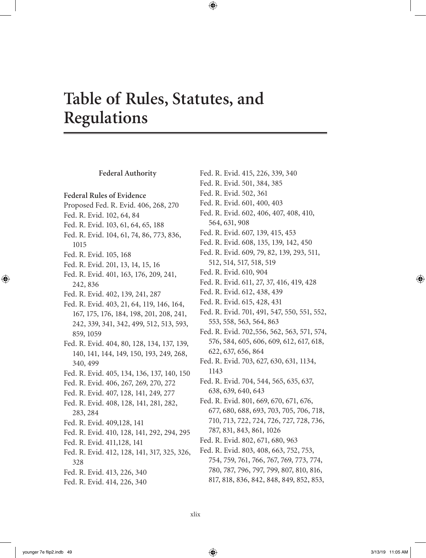# **Table of Rules, Statutes, and Regulations**

### **Federal Authority Federal Rules of Evidence** Proposed Fed. R. Evid. 406, 268, 270 Fed. R. Evid. 102, 64, 84 Fed. R. Evid. 103, 61, 64, 65, 188 Fed. R. Evid. 104, 61, 74, 86, 773, 836, 1015 Fed. R. Evid. 105, 168 Fed. R. Evid. 201, 13, 14, 15, 16 Fed. R. Evid. 401, 163, 176, 209, 241, 242, 836 Fed. R. Evid. 402, 139, 241, 287 Fed. R. Evid. 403, 21, 64, 119, 146, 164, 167, 175, 176, 184, 198, 201, 208, 241, 242, 339, 341, 342, 499, 512, 513, 593, 859, 1059 Fed. R. Evid. 404, 80, 128, 134, 137, 139, 140, 141, 144, 149, 150, 193, 249, 268, 340, 499 Fed. R. Evid. 405, 134, 136, 137, 140, 150 Fed. R. Evid. 406, 267, 269, 270, 272 Fed. R. Evid. 407, 128, 141, 249, 277 Fed. R. Evid. 408, 128, 141, 281, 282, 283, 284 Fed. R. Evid. 409,128, 141 Fed. R. Evid. 410, 128, 141, 292, 294, 295 Fed. R. Evid. 411,128, 141 Fed. R. Evid. 412, 128, 141, 317, 325, 326, 328 Fed. R. Evid. 413, 226, 340 Fed. R. Evid. 414, 226, 340 Fed. R. Evid. 415, 226, 339, 340 Fed. R. Evid. 501, 384, 385 Fed. R. Evid. 502, 361 Fed. R. Evid. 601, 400, 403 Fed. R. Evid. 602, 406, 407, 408, 410, 564, 631, 908 Fed. R. Evid. 607, 139, 415, 453 Fed. R. Evid. 608, 135, 139, 142, 450 Fed. R. Evid. 609, 79, 82, 139, 293, 511, 512, 514, 517, 518, 519 Fed. R. Evid. 610, 904 Fed. R. Evid. 611, 27, 37, 416, 419, 428 Fed. R. Evid. 612, 438, 439 Fed. R. Evid. 615, 428, 431 Fed. R. Evid. 701, 491, 547, 550, 551, 552, 553, 558, 563, 564, 863 Fed. R. Evid. 702,556, 562, 563, 571, 574, 576, 584, 605, 606, 609, 612, 617, 618, 622, 637, 656, 864 Fed. R. Evid. 703, 627, 630, 631, 1134, 1143 Fed. R. Evid. 704, 544, 565, 635, 637, 638, 639, 640, 643 Fed. R. Evid. 801, 669, 670, 671, 676, 677, 680, 688, 693, 703, 705, 706, 718, 710, 713, 722, 724, 726, 727, 728, 736, 787, 831, 843, 861, 1026 Fed. R. Evid. 802, 671, 680, 963 Fed. R. Evid. 803, 408, 663, 752, 753, 754, 759, 761, 766, 767, 769, 773, 774, 780, 787, 796, 797, 799, 807, 810, 816, 817, 818, 836, 842, 848, 849, 852, 853,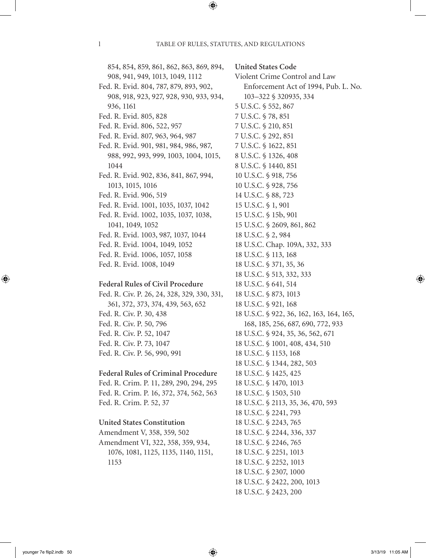**United States Code**

854, 854, 859, 861, 862, 863, 869, 894, 908, 941, 949, 1013, 1049, 1112 Fed. R. Evid. 804, 787, 879, 893, 902, 908, 918, 923, 927, 928, 930, 933, 934, 936, 1161 Fed. R. Evid. 805, 828 Fed. R. Evid. 806, 522, 957 Fed. R. Evid. 807, 963, 964, 987 Fed. R. Evid. 901, 981, 984, 986, 987, 988, 992, 993, 999, 1003, 1004, 1015, 1044 Fed. R. Evid. 902, 836, 841, 867, 994, 1013, 1015, 1016 Fed. R. Evid. 906, 519 Fed. R. Evid. 1001, 1035, 1037, 1042 Fed. R. Evid. 1002, 1035, 1037, 1038, 1041, 1049, 1052 Fed. R. Evid. 1003, 987, 1037, 1044 Fed. R. Evid. 1004, 1049, 1052 Fed. R. Evid. 1006, 1057, 1058 Fed. R. Evid. 1008, 1049

## **Federal Rules of Civil Procedure**

Fed. R. Civ. P. 26, 24, 328, 329, 330, 331, 361, 372, 373, 374, 439, 563, 652 Fed. R. Civ. P. 30, 438 Fed. R. Civ. P. 50, 796 Fed. R. Civ. P. 52, 1047 Fed. R. Civ. P. 73, 1047 Fed. R. Civ. P. 56, 990, 991

# **Federal Rules of Criminal Procedure**

Fed. R. Crim. P. 11, 289, 290, 294, 295 Fed. R. Crim. P. 16, 372, 374, 562, 563 Fed. R. Crim. P. 52, 37

## **United States Constitution**

Amendment V, 358, 359, 502 Amendment VI, 322, 358, 359, 934, 1076, 1081, 1125, 1135, 1140, 1151, 1153

Violent Crime Control and Law Enforcement Act of 1994, Pub. L. No. 103–322 § 320935, 334 5 U.S.C. § 552, 867 7 U.S.C. § 78, 851 7 U.S.C. § 210, 851 7 U.S.C. § 292, 851 7 U.S.C. § 1622, 851 8 U.S.C. § 1326, 408 8 U.S.C. § 1440, 851 10 U.S.C. § 918, 756 10 U.S.C. § 928, 756 14 U.S.C. § 88, 723 15 U.S.C. § 1, 901 15 U.S.C. § 15b, 901 15 U.S.C. § 2609, 861, 862 18 U.S.C. § 2, 984 18 U.S.C. Chap. 109A, 332, 333 18 U.S.C. § 113, 168 18 U.S.C. § 371, 35, 36 18 U.S.C. § 513, 332, 333 18 U.S.C. § 641, 514 18 U.S.C. § 873, 1013 18 U.S.C. § 921, 168 18 U.S.C. § 922, 36, 162, 163, 164, 165, 168, 185, 256, 687, 690, 772, 933 18 U.S.C. § 924, 35, 36, 562, 671 18 U.S.C. § 1001, 408, 434, 510 18 U.S.C. § 1153, 168 18 U.S.C. § 1344, 282, 503 18 U.S.C. § 1425, 425 18 U.S.C. § 1470, 1013 18 U.S.C. § 1503, 510 18 U.S.C. § 2113, 35, 36, 470, 593 18 U.S.C. § 2241, 793 18 U.S.C. § 2243, 765 18 U.S.C. § 2244, 336, 337 18 U.S.C. § 2246, 765 18 U.S.C. § 2251, 1013 18 U.S.C. § 2252, 1013 18 U.S.C. § 2307, 1000 18 U.S.C. § 2422, 200, 1013 18 U.S.C. § 2423, 200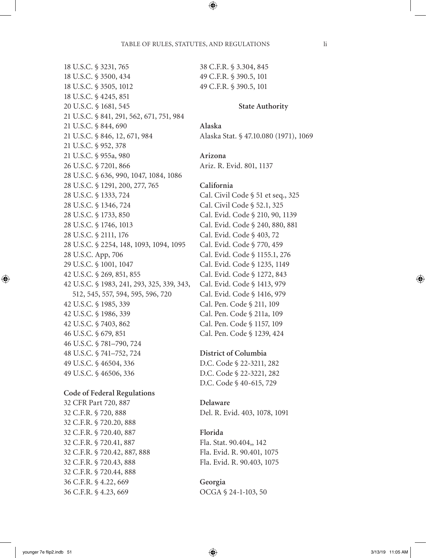18 U.S.C. § 3231, 765 18 U.S.C. § 3500, 434 18 U.S.C. § 3505, 1012 18 U.S.C. § 4245, 851 20 U.S.C. § 1681, 545 21 U.S.C. § 841, 291, 562, 671, 751, 984 21 U.S.C. § 844, 690 21 U.S.C. § 846, 12, 671, 984 21 U.S.C. § 952, 378 21 U.S.C. § 955a, 980 26 U.S.C. § 7201, 866 28 U.S.C. § 636, 990, 1047, 1084, 1086 28 U.S.C. § 1291, 200, 277, 765 28 U.S.C. § 1333, 724 28 U.S.C. § 1346, 724 28 U.S.C. § 1733, 850 28 U.S.C. § 1746, 1013 28 U.S.C. § 2111, 176 28 U.S.C. § 2254, 148, 1093, 1094, 1095 28 U.S.C. App, 706 29 U.S.C. § 1001, 1047 42 U.S.C. § 269, 851, 855 42 U.S.C. § 1983, 241, 293, 325, 339, 343, 512, 545, 557, 594, 595, 596, 720 42 U.S.C. § 1985, 339 42 U.S.C. § 1986, 339 42 U.S.C. § 7403, 862 46 U.S.C. § 679, 851 46 U.S.C. § 781–790, 724 48 U.S.C. § 741–752, 724 49 U.S.C. § 46504, 336 49 U.S.C. § 46506, 336 **Code of Federal Regulations** 32 CFR Part 720, 887 32 C.F.R. § 720, 888 32 C.F.R. § 720.20, 888 32 C.F.R. § 720.40, 887 32 C.F.R. § 720.41, 887 32 C.F.R. § 720.42, 887, 888 32 C.F.R. § 720.43, 888 32 C.F.R. § 720.44, 888 36 C.F.R. § 4.22, 669 36 C.F.R. § 4.23, 669

38 C.F.R. § 3.304, 845 49 C.F.R. § 390.5, 101 49 C.F.R. § 390.5, 101

### **State Authority**

**Alaska** Alaska Stat. § 47.10.080 (1971), 1069

**Arizona** Ariz. R. Evid. 801, 1137

## **California**

Cal. Civil Code § 51 et seq., 325 Cal. Civil Code § 52.1, 325 Cal. Evid. Code § 210, 90, 1139 Cal. Evid. Code § 240, 880, 881 Cal. Evid. Code § 403, 72 Cal. Evid. Code § 770, 459 Cal. Evid. Code § 1155.1, 276 Cal. Evid. Code § 1235, 1149 Cal. Evid. Code § 1272, 843 Cal. Evid. Code § 1413, 979 Cal. Evid. Code § 1416, 979 Cal. Pen. Code § 211, 109 Cal. Pen. Code § 211a, 109 Cal. Pen. Code § 1157, 109 Cal. Pen. Code § 1239, 424

**District of Columbia**

D.C. Code § 22-3211, 282 D.C. Code § 22-3221, 282 D.C. Code § 40-615, 729

**Delaware** Del. R. Evid. 403, 1078, 1091

## **Florida**

Fla. Stat. 90.404,, 142 Fla. Evid. R. 90.401, 1075 Fla. Evid. R. 90.403, 1075

**Georgia** OCGA § 24-1-103, 50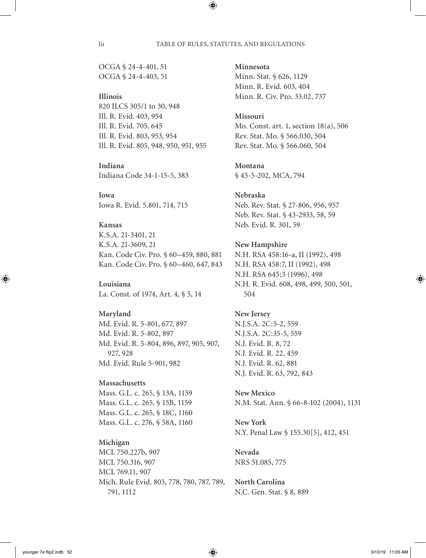OCGA § 24-4-401, 51 OCGA § 24-4-403, 51

# **Illinois**

820 ILCS 305/1 to 30, 948 Ill. R. Evid. 403, 954 Ill. R. Evid. 705, 645 Ill. R. Evid. 803, 953, 954 Ill. R. Evid. 805, 948, 950, 951, 955

**Indiana** Indiana Code 34-1-15-5, 383

**Iowa** Iowa R. Evid. 5.801, 714, 715

# **Kansas**

K.S.A. 21-3401, 21 K.S.A. 21-3609, 21 Kan. Code Civ. Pro. § 60–459, 880, 881 Kan. Code Civ. Pro. § 60–460, 647, 843

## **Louisiana**

La. Const. of 1974, Art. 4, § 5, 14

## **Maryland**

Md. Evid. R. 5-801, 677, 897 Md. Evid. R. 5-802, 897 Md. Evid. R. 5-804, 896, 897, 905, 907, 927, 928 Md. Evid. Rule 5-901, 982

# **Massachusetts**

Mass. G.L. c. 265, § 13A, 1159 Mass. G.L. c. 265, § 15B, 1159 Mass. G.L. c. 265, § 18C, 1160 Mass. G.L. c. 276, § 58A, 1160

# **Michigan**

MCL 750.227b, 907 MCL 750.316, 907 MCL 769.11, 907 Mich. Rule Evid. 803, 778, 780, 787, 789, 791, 1112

**Minnesota**

Minn. Stat. § 626, 1129 Minn. R. Evid. 603, 404 Minn. R. Civ. Pro. 33.02, 737

# **Missouri**

Mo. Const. art. 1, section 18(a), 506 Rev. Stat. Mo. § 566.030, 504 Rev. Stat. Mo. § 566.060, 504

## **Montana**

§ 45-5-202, MCA, 794

# **Nebraska**

Neb. Rev. Stat. § 27-806, 956, 957 Neb. Rev. Stat. § 43-2933, 58, 59 Neb. Evid. R. 301, 59

## **New Hampshire**

N.H. RSA 458:16-a, II (1992), 498 N.H. RSA 458:7, II (1992), 498 N.H. RSA 645:3 (1996), 498 N.H. R. Evid. 608, 498, 499, 500, 501, 504

# **New Jersey** N.J.S.A. 2C:5-2, 559 N.J.S.A. 2C:35-5, 559 N.J. Evid. R. 8, 72 N.J. Evid. R. 22, 459 N.J. Evid. R. 62, 881 N.J. Evid. R. 63, 792, 843

**New Mexico** N.M. Stat. Ann. § 66-8-102 (2004), 1131

**New York** N.Y. Penal Law § 155.30[5], 412, 451

**Nevada**  NRS 51.085, 775

# **North Carolina** N.C. Gen. Stat. § 8, 889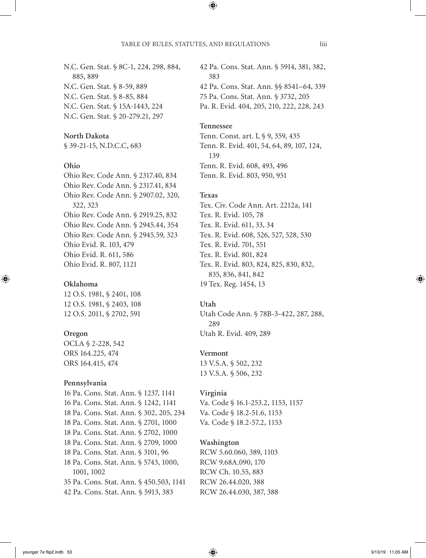N.C. Gen. Stat. § 8C-1, 224, 298, 884, 885, 889 N.C. Gen. Stat. § 8-59, 889 N.C. Gen. Stat. § 8-85, 884 N.C. Gen. Stat. § 15A-1443, 224 N.C. Gen. Stat. § 20-279.21, 297

# **North Dakota**

§ 39-21-15, N.D.C.C, 683

## **Ohio**

Ohio Rev. Code Ann. § 2317.40, 834 Ohio Rev. Code Ann. § 2317.41, 834 Ohio Rev. Code Ann. § 2907.02, 320, 322, 323 Ohio Rev. Code Ann. § 2919.25, 832 Ohio Rev. Code Ann. § 2945.44, 354 Ohio Rev. Code Ann. § 2945.59, 323 Ohio Evid. R. 103, 479 Ohio Evid. R. 611, 586 Ohio Evid. R. 807, 1121

## **Oklahoma**

12 O.S. 1981, § 2401, 108 12 O.S. 1981, § 2403, 108 12 O.S. 2011, § 2702, 591

### **Oregon**

OCLA § 2-228, 542 ORS 164.225, 474 ORS 164.415, 474

## **Pennsylvania**

16 Pa. Cons. Stat. Ann. § 1237, 1141 16 Pa. Cons. Stat. Ann. § 1242, 1141 18 Pa. Cons. Stat. Ann. § 302, 205, 234 18 Pa. Cons. Stat. Ann. § 2701, 1000 18 Pa. Cons. Stat. Ann. § 2702, 1000 18 Pa. Cons. Stat. Ann. § 2709, 1000 18 Pa. Cons. Stat. Ann. § 3101, 96 18 Pa. Cons. Stat. Ann. § 5743, 1000, 1001, 1002 35 Pa. Cons. Stat. Ann. § 450.503, 1141 42 Pa. Cons. Stat. Ann. § 5913, 383

42 Pa. Cons. Stat. Ann. § 5914, 381, 382, 383 42 Pa. Cons. Stat. Ann. §§ 8541–64, 339 75 Pa. Cons. Stat. Ann. § 3732, 205 Pa. R. Evid. 404, 205, 210, 222, 228, 243

## **Tennessee**

Tenn. Const. art. I, § 9, 359, 435 Tenn. R. Evid. 401, 54, 64, 89, 107, 124, 139 Tenn. R. Evid. 608, 493, 496 Tenn. R. Evid. 803, 950, 951

## **Texas**

Tex. Civ. Code Ann. Art. 2212a, 141 Tex. R. Evid. 105, 78 Tex. R. Evid. 611, 33, 34 Tex. R. Evid. 608, 526, 527, 528, 530 Tex. R. Evid. 701, 551 Tex. R. Evid. 801, 824 Tex. R. Evid. 803, 824, 825, 830, 832, 835, 836, 841, 842 19 Tex. Reg. 1454, 13

# **Utah**

Utah Code Ann. § 78B-3-422, 287, 288, 289 Utah R. Evid. 409, 289

## **Vermont**

13 V.S.A. § 502, 232 13 V.S.A. § 506, 232

### **Virginia**

Va. Code § 16.1-253.2, 1153, 1157 Va. Code § 18.2-51.6, 1153 Va. Code § 18.2-57.2, 1153

## **Washington**

RCW 5.60.060, 389, 1103 RCW 9.68A.090, 170 RCW Ch. 10.55, 883 RCW 26.44.020, 388 RCW 26.44.030, 387, 388